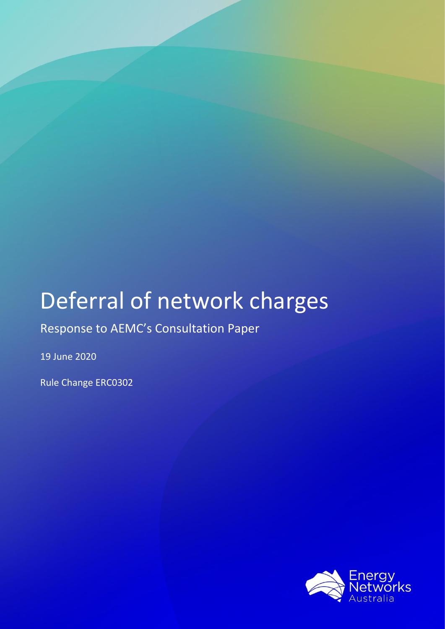# Deferral of network charges

## Response to AEMC's Consultation Paper

19 June 2020

Rule Change ERC0302

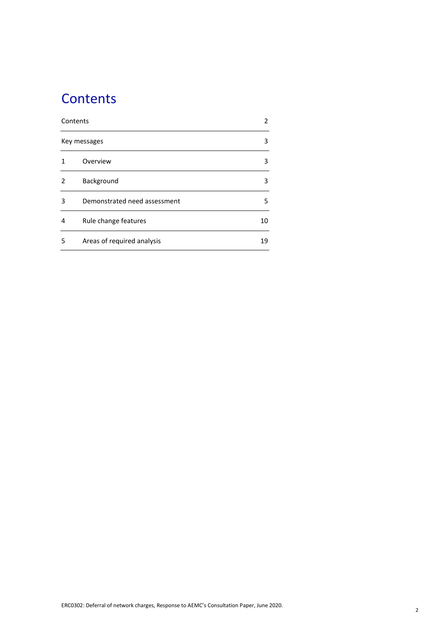## **Contents**

|               | Contents                     |    |  |
|---------------|------------------------------|----|--|
|               | Key messages                 |    |  |
|               | Overview                     | 3  |  |
| $\mathcal{P}$ | Background                   | 3  |  |
| 3             | Demonstrated need assessment | 5  |  |
| 4             | Rule change features         | 10 |  |
| 5             | Areas of required analysis   | 19 |  |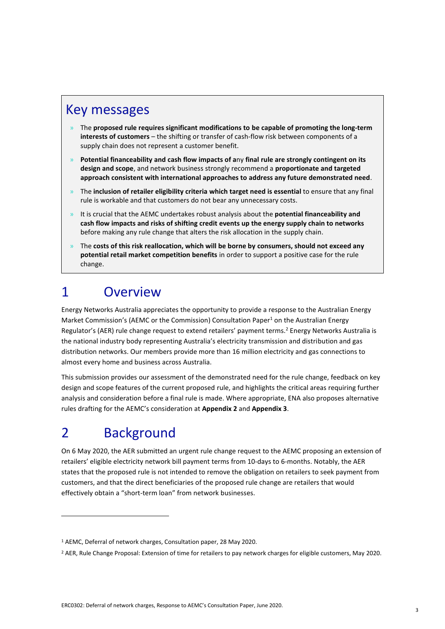### Key messages

- » The **proposed rule requires significant modifications to be capable of promoting the long-term interests of customers** – the shifting or transfer of cash-flow risk between components of a supply chain does not represent a customer benefit.
- » **Potential financeability and cash flow impacts of a**ny **final rule are strongly contingent on its design and scope**, and network business strongly recommend a **proportionate and targeted approach consistent with international approaches to address any future demonstrated need**.
- » The **inclusion of retailer eligibility criteria which target need is essential** to ensure that any final rule is workable and that customers do not bear any unnecessary costs.
- » It is crucial that the AEMC undertakes robust analysis about the **potential financeability and cash flow impacts and risks of shifting credit events up the energy supply chain to networks** before making any rule change that alters the risk allocation in the supply chain.
- » The **costs of this risk reallocation, which will be borne by consumers, should not exceed any potential retail market competition benefits** in order to support a positive case for the rule change.

## 1 Overview

Energy Networks Australia appreciates the opportunity to provide a response to the Australian Energy Market Commission's (AEMC or the Commission) Consultation Paper<sup>1</sup> on the Australian Energy Regulator's (AER) rule change request to extend retailers' payment terms.<sup>2</sup> Energy Networks Australia is the national industry body representing Australia's electricity transmission and distribution and gas distribution networks. Our members provide more than 16 million electricity and gas connections to almost every home and business across Australia.

This submission provides our assessment of the demonstrated need for the rule change, feedback on key design and scope features of the current proposed rule, and highlights the critical areas requiring further analysis and consideration before a final rule is made. Where appropriate, ENA also proposes alternative rules drafting for the AEMC's consideration at **Appendix 2** and **Appendix 3**.

## 2 Background

On 6 May 2020, the AER submitted an urgent rule change request to the AEMC proposing an extension of retailers' eligible electricity network bill payment terms from 10-days to 6-months. Notably, the AER states that the proposed rule is not intended to remove the obligation on retailers to seek payment from customers, and that the direct beneficiaries of the proposed rule change are retailers that would effectively obtain a "short-term loan" from network businesses.

<sup>1</sup> AEMC, Deferral of network charges, Consultation paper, 28 May 2020.

<sup>2</sup> AER, Rule Change Proposal: Extension of time for retailers to pay network charges for eligible customers, May 2020.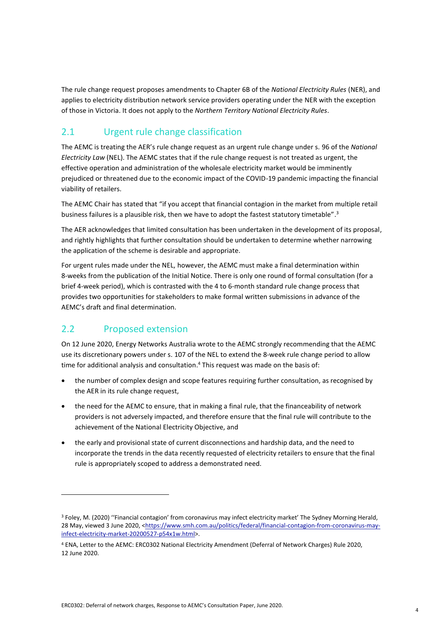The rule change request proposes amendments to Chapter 6B of the *National Electricity Rules* (NER), and applies to electricity distribution network service providers operating under the NER with the exception of those in Victoria. It does not apply to the *Northern Territory National Electricity Rules*.

### 2.1 Urgent rule change classification

The AEMC is treating the AER's rule change request as an urgent rule change under s. 96 of the *National Electricity Law* (NEL). The AEMC states that if the rule change request is not treated as urgent, the effective operation and administration of the wholesale electricity market would be imminently prejudiced or threatened due to the economic impact of the COVID-19 pandemic impacting the financial viability of retailers.

The AEMC Chair has stated that "if you accept that financial contagion in the market from multiple retail business failures is a plausible risk, then we have to adopt the fastest statutory timetable".<sup>3</sup>

The AER acknowledges that limited consultation has been undertaken in the development of its proposal, and rightly highlights that further consultation should be undertaken to determine whether narrowing the application of the scheme is desirable and appropriate.

For urgent rules made under the NEL, however, the AEMC must make a final determination within 8-weeks from the publication of the Initial Notice. There is only one round of formal consultation (for a brief 4-week period), which is contrasted with the 4 to 6-month standard rule change process that provides two opportunities for stakeholders to make formal written submissions in advance of the AEMC's draft and final determination.

### 2.2 Proposed extension

On 12 June 2020, Energy Networks Australia wrote to the AEMC strongly recommending that the AEMC use its discretionary powers under s. 107 of the NEL to extend the 8-week rule change period to allow time for additional analysis and consultation. <sup>4</sup> This request was made on the basis of:

- the number of complex design and scope features requiring further consultation, as recognised by the AER in its rule change request,
- the need for the AEMC to ensure, that in making a final rule, that the financeability of network providers is not adversely impacted, and therefore ensure that the final rule will contribute to the achievement of the National Electricity Objective, and
- the early and provisional state of current disconnections and hardship data, and the need to incorporate the trends in the data recently requested of electricity retailers to ensure that the final rule is appropriately scoped to address a demonstrated need.

<sup>3</sup> Foley, M. (2020) ''Financial contagion' from coronavirus may infect electricity market' The Sydney Morning Herald, 28 May, viewed 3 June 2020, [<https://www.smh.com.au/politics/federal/financial-contagion-from-coronavirus-may](https://www.smh.com.au/politics/federal/financial-contagion-from-coronavirus-may-infect-electricity-market-20200527-p54x1w.html)[infect-electricity-market-20200527-p54x1w.html>](https://www.smh.com.au/politics/federal/financial-contagion-from-coronavirus-may-infect-electricity-market-20200527-p54x1w.html).

<sup>4</sup> ENA, Letter to the AEMC: ERC0302 National Electricity Amendment (Deferral of Network Charges) Rule 2020, 12 June 2020.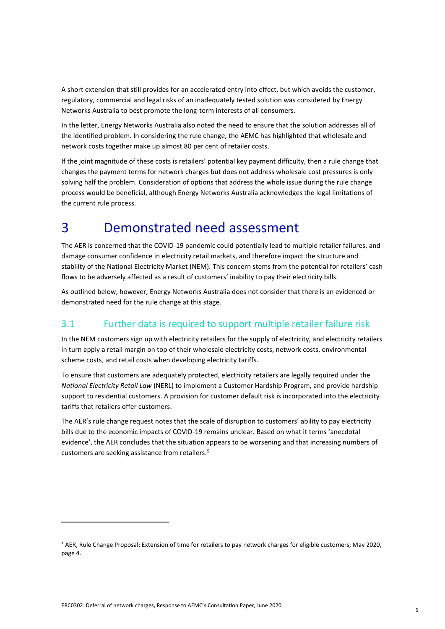A short extension that still provides for an accelerated entry into effect, but which avoids the customer, regulatory, commercial and legal risks of an inadequately tested solution was considered by Energy Networks Australia to best promote the long-term interests of all consumers.

In the letter, Energy Networks Australia also noted the need to ensure that the solution addresses all of the identified problem. In considering the rule change, the AEMC has highlighted that wholesale and network costs together make up almost 80 per cent of retailer costs.

If the joint magnitude of these costs is retailers' potential key payment difficulty, then a rule change that changes the payment terms for network charges but does not address wholesale cost pressures is only solving half the problem. Consideration of options that address the whole issue during the rule change process would be beneficial, although Energy Networks Australia acknowledges the legal limitations of the current rule process.

## 3 Demonstrated need assessment

The AER is concerned that the COVID-19 pandemic could potentially lead to multiple retailer failures, and damage consumer confidence in electricity retail markets, and therefore impact the structure and stability of the National Electricity Market (NEM). This concern stems from the potential for retailers' cash flows to be adversely affected as a result of customers' inability to pay their electricity bills.

As outlined below, however, Energy Networks Australia does not consider that there is an evidenced or demonstrated need for the rule change at this stage.

### 3.1 Further data is required to support multiple retailer failure risk

In the NEM customers sign up with electricity retailers for the supply of electricity, and electricity retailers in turn apply a retail margin on top of their wholesale electricity costs, network costs, environmental scheme costs, and retail costs when developing electricity tariffs.

To ensure that customers are adequately protected, electricity retailers are legally required under the *National Electricity Retail Law* (NERL) to implement a Customer Hardship Program, and provide hardship support to residential customers. A provision for customer default risk is incorporated into the electricity tariffs that retailers offer customers.

The AER's rule change request notes that the scale of disruption to customers' ability to pay electricity bills due to the economic impacts of COVID-19 remains unclear. Based on what it terms 'anecdotal evidence', the AER concludes that the situation appears to be worsening and that increasing numbers of customers are seeking assistance from retailers.<sup>5</sup>

<sup>5</sup> AER, Rule Change Proposal: Extension of time for retailers to pay network charges for eligible customers, May 2020, page 4.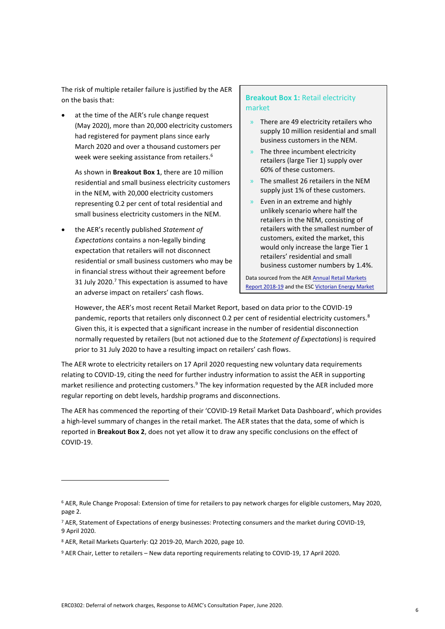The risk of multiple retailer failure is justified by the AER on the basis that:

at the time of the AER's rule change request (May 2020), more than 20,000 electricity customers had registered for payment plans since early March 2020 and over a thousand customers per week were seeking assistance from retailers. 6

As shown in **Breakout Box 1**, there are 10 million residential and small business electricity customers in the NEM, with 20,000 electricity customers representing 0.2 per cent of total residential and small business electricity customers in the NEM.

• the AER's recently published *Statement of Expectations* contains a non-legally binding expectation that retailers will not disconnect residential or small business customers who may be in financial stress without their agreement before 31 July 2020. <sup>7</sup> This expectation is assumed to have an adverse impact on retailers' cash flows.

#### **Breakout Box 1:** Retail electricity market

- » There are 49 electricity retailers who supply 10 million residential and small business customers in the NEM.
- » The three incumbent electricity retailers (large Tier 1) supply over 60% of these customers.
- » The smallest 26 retailers in the NEM supply just 1% of these customers.
- » Even in an extreme and highly unlikely scenario where half the retailers in the NEM, consisting of retailers with the smallest number of customers, exited the market, this would only increase the large Tier 1 retailers' residential and small business customer numbers by 1.4%.

Data sourced from the AE[R Annual Retail Markets](https://www.aer.gov.au/system/files/AER%20Annual%20Retail%20Markets%20Report%202018-19_0.pdf)  [Report 2018-19](https://www.aer.gov.au/system/files/AER%20Annual%20Retail%20Markets%20Report%202018-19_0.pdf) and the ES[C Victorian Energy Market](https://www.esc.vic.gov.au/electricity-and-gas/market-performance-and-reporting/victorian-energy-market-report) 

However, the AER's most recent Retail Market Report, based on data prior to the COVID-19 pandemic, reports that retailers only disconnect 0.2 per cent of residential electricity customers.<sup>8</sup> Given this, it is expected that a significant increase in the number of residential disconnection normally requested by retailers (but not actioned due to the *Statement of Expectations*) is required prior to 31 July 2020 to have a resulting impact on retailers' cash flows.

[Report 2018-19](https://www.esc.vic.gov.au/electricity-and-gas/market-performance-and-reporting/victorian-energy-market-report)

The AER wrote to electricity retailers on 17 April 2020 requesting new voluntary data requirements relating to COVID-19, citing the need for further industry information to assist the AER in supporting market resilience and protecting customers.<sup>9</sup> The key information requested by the AER included more regular reporting on debt levels, hardship programs and disconnections.

The AER has commenced the reporting of their 'COVID-19 Retail Market Data Dashboard', which provides a high-level summary of changes in the retail market. The AER states that the data, some of which is reported in **Breakout Box 2**, does not yet allow it to draw any specific conclusions on the effect of COVID-19.

<sup>6</sup> AER, Rule Change Proposal: Extension of time for retailers to pay network charges for eligible customers, May 2020, page 2.

<sup>7</sup> AER, Statement of Expectations of energy businesses: Protecting consumers and the market during COVID-19, 9 April 2020.

<sup>8</sup> AER, Retail Markets Quarterly: Q2 2019-20, March 2020, page 10.

<sup>9</sup> AER Chair, Letter to retailers – New data reporting requirements relating to COVID-19, 17 April 2020.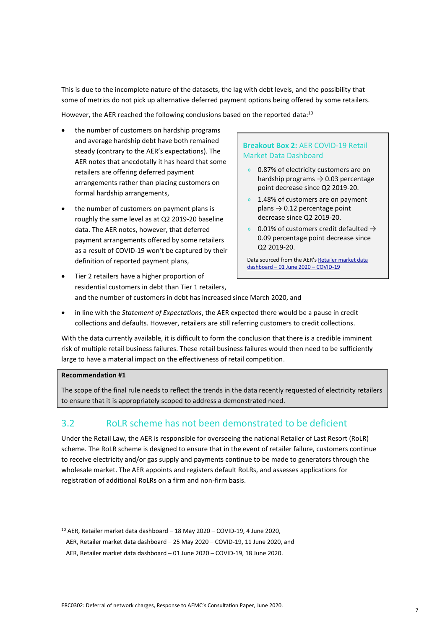This is due to the incomplete nature of the datasets, the lag with debt levels, and the possibility that some of metrics do not pick up alternative deferred payment options being offered by some retailers.

However, the AER reached the following conclusions based on the reported data:<sup>10</sup>

- the number of customers on hardship programs and average hardship debt have both remained steady (contrary to the AER's expectations). The AER notes that anecdotally it has heard that some retailers are offering deferred payment arrangements rather than placing customers on formal hardship arrangements,
- the number of customers on payment plans is roughly the same level as at Q2 2019-20 baseline data. The AER notes, however, that deferred payment arrangements offered by some retailers as a result of COVID-19 won't be captured by their definition of reported payment plans,

#### **Breakout Box 2:** AER COVID-19 Retail Market Data Dashboard

- » 0.87% of electricity customers are on hardship programs  $\rightarrow$  0.03 percentage point decrease since Q2 2019-20.
- 1.48% of customers are on payment plans  $\rightarrow$  0.12 percentage point decrease since Q2 2019-20.
- » 0.01% of customers credit defaulted  $\rightarrow$ 0.09 percentage point decrease since Q2 2019-20.

Data sourced from the AER's [Retailer market data](https://www.aer.gov.au/system/files/Retailer%20market%20data%20dashboard%20-%201%20June%202020%20-%20COVID-19.pdf)  [dashboard](https://www.aer.gov.au/system/files/Retailer%20market%20data%20dashboard%20-%201%20June%202020%20-%20COVID-19.pdf) – 01 June 2020 – COVID-19

- Tier 2 retailers have a higher proportion of residential customers in debt than Tier 1 retailers, and the number of customers in debt has increased since March 2020, and
- in line with the *Statement of Expectations*, the AER expected there would be a pause in credit collections and defaults. However, retailers are still referring customers to credit collections.

With the data currently available, it is difficult to form the conclusion that there is a credible imminent risk of multiple retail business failures. These retail business failures would then need to be sufficiently large to have a material impact on the effectiveness of retail competition.

#### **Recommendation #1**

The scope of the final rule needs to reflect the trends in the data recently requested of electricity retailers to ensure that it is appropriately scoped to address a demonstrated need.

### 3.2 RoLR scheme has not been demonstrated to be deficient

Under the Retail Law, the AER is responsible for overseeing the national Retailer of Last Resort (RoLR) scheme. The RoLR scheme is designed to ensure that in the event of retailer failure, customers continue to receive electricity and/or gas supply and payments continue to be made to generators through the wholesale market. The AER appoints and registers default RoLRs, and assesses applications for registration of additional RoLRs on a firm and non-firm basis.

<sup>10</sup> AER, Retailer market data dashboard – 18 May 2020 – COVID-19, 4 June 2020, AER, Retailer market data dashboard – 25 May 2020 – COVID-19, 11 June 2020, and

AER, Retailer market data dashboard – 01 June 2020 – COVID-19, 18 June 2020.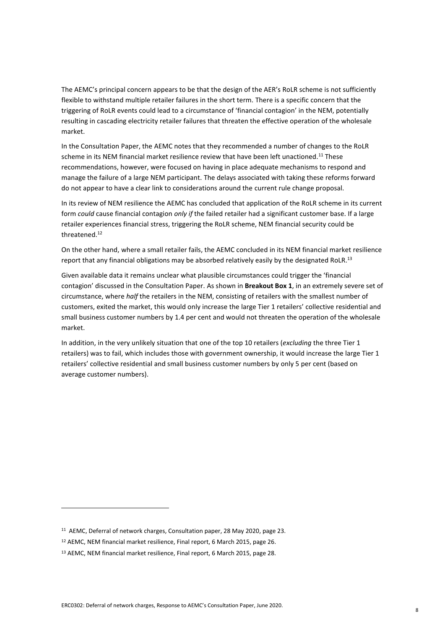The AEMC's principal concern appears to be that the design of the AER's RoLR scheme is not sufficiently flexible to withstand multiple retailer failures in the short term. There is a specific concern that the triggering of RoLR events could lead to a circumstance of 'financial contagion' in the NEM, potentially resulting in cascading electricity retailer failures that threaten the effective operation of the wholesale market.

In the Consultation Paper, the AEMC notes that they recommended a number of changes to the RoLR scheme in its NEM financial market resilience review that have been left unactioned.<sup>11</sup> These recommendations, however, were focused on having in place adequate mechanisms to respond and manage the failure of a large NEM participant. The delays associated with taking these reforms forward do not appear to have a clear link to considerations around the current rule change proposal.

In its review of NEM resilience the AEMC has concluded that application of the RoLR scheme in its current form *could* cause financial contagion *only if* the failed retailer had a significant customer base. If a large retailer experiences financial stress, triggering the RoLR scheme, NEM financial security could be threatened.<sup>12</sup>

On the other hand, where a small retailer fails, the AEMC concluded in its NEM financial market resilience report that any financial obligations may be absorbed relatively easily by the designated RoLR.<sup>13</sup>

Given available data it remains unclear what plausible circumstances could trigger the 'financial contagion' discussed in the Consultation Paper. As shown in **Breakout Box 1**, in an extremely severe set of circumstance, where *half* the retailers in the NEM, consisting of retailers with the smallest number of customers, exited the market, this would only increase the large Tier 1 retailers' collective residential and small business customer numbers by 1.4 per cent and would not threaten the operation of the wholesale market.

In addition, in the very unlikely situation that one of the top 10 retailers (*excluding* the three Tier 1 retailers) was to fail, which includes those with government ownership, it would increase the large Tier 1 retailers' collective residential and small business customer numbers by only 5 per cent (based on average customer numbers).

<sup>&</sup>lt;sup>11</sup> AEMC, Deferral of network charges, Consultation paper, 28 May 2020, page 23.

<sup>12</sup> AEMC, NEM financial market resilience, Final report, 6 March 2015, page 26.

<sup>13</sup> AEMC, NEM financial market resilience, Final report, 6 March 2015, page 28.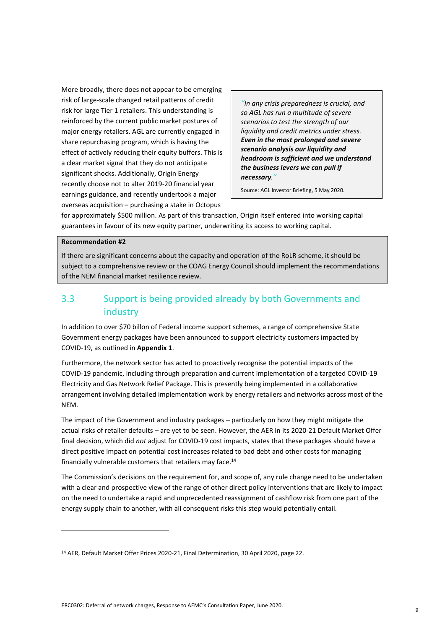More broadly, there does not appear to be emerging risk of large-scale changed retail patterns of credit risk for large Tier 1 retailers. This understanding is reinforced by the current public market postures of major energy retailers. AGL are currently engaged in share repurchasing program, which is having the effect of actively reducing their equity buffers. This is a clear market signal that they do not anticipate significant shocks. Additionally, Origin Energy recently choose not to alter 2019-20 financial year earnings guidance, and recently undertook a major overseas acquisition – purchasing a stake in Octopus

*"In any crisis preparedness is crucial, and so AGL has run a multitude of severe scenarios to test the strength of our liquidity and credit metrics under stress. Even in the most prolonged and severe scenario analysis our liquidity and headroom is sufficient and we understand the business levers we can pull if necessary."*

Source: AGL Investor Briefing, 5 May 2020.

for approximately \$500 million. As part of this transaction, Origin itself entered into working capital guarantees in favour of its new equity partner, underwriting its access to working capital.

#### **Recommendation #2**

If there are significant concerns about the capacity and operation of the RoLR scheme, it should be subject to a comprehensive review or the COAG Energy Council should implement the recommendations of the NEM financial market resilience review.

### 3.3 Support is being provided already by both Governments and industry

In addition to over \$70 billon of Federal income support schemes, a range of comprehensive State Government energy packages have been announced to support electricity customers impacted by COVID-19, as outlined in **Appendix 1**.

Furthermore, the network sector has acted to proactively recognise the potential impacts of the COVID-19 pandemic, including through preparation and current implementation of a targeted COVID-19 Electricity and Gas Network Relief Package. This is presently being implemented in a collaborative arrangement involving detailed implementation work by energy retailers and networks across most of the NEM.

The impact of the Government and industry packages – particularly on how they might mitigate the actual risks of retailer defaults – are yet to be seen. However, the AER in its 2020-21 Default Market Offer final decision, which did *not* adjust for COVID-19 cost impacts, states that these packages should have a direct positive impact on potential cost increases related to bad debt and other costs for managing financially vulnerable customers that retailers may face.<sup>14</sup>

The Commission's decisions on the requirement for, and scope of, any rule change need to be undertaken with a clear and prospective view of the range of other direct policy interventions that are likely to impact on the need to undertake a rapid and unprecedented reassignment of cashflow risk from one part of the energy supply chain to another, with all consequent risks this step would potentially entail.

<sup>14</sup> AER, Default Market Offer Prices 2020-21, Final Determination, 30 April 2020, page 22.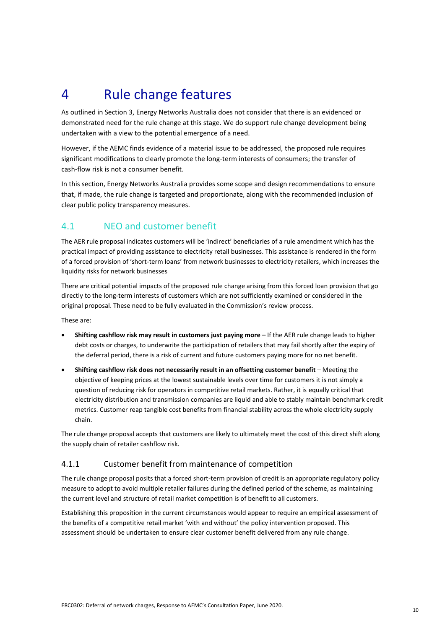## 4 Rule change features

As outlined in Section 3, Energy Networks Australia does not consider that there is an evidenced or demonstrated need for the rule change at this stage. We do support rule change development being undertaken with a view to the potential emergence of a need.

However, if the AEMC finds evidence of a material issue to be addressed, the proposed rule requires significant modifications to clearly promote the long-term interests of consumers; the transfer of cash-flow risk is not a consumer benefit.

In this section, Energy Networks Australia provides some scope and design recommendations to ensure that, if made, the rule change is targeted and proportionate, along with the recommended inclusion of clear public policy transparency measures.

### 4.1 NEO and customer benefit

The AER rule proposal indicates customers will be 'indirect' beneficiaries of a rule amendment which has the practical impact of providing assistance to electricity retail businesses. This assistance is rendered in the form of a forced provision of 'short-term loans' from network businesses to electricity retailers, which increases the liquidity risks for network businesses

There are critical potential impacts of the proposed rule change arising from this forced loan provision that go directly to the long-term interests of customers which are not sufficiently examined or considered in the original proposal. These need to be fully evaluated in the Commission's review process.

These are:

- **Shifting cashflow risk may result in customers just paying more** If the AER rule change leads to higher debt costs or charges, to underwrite the participation of retailers that may fail shortly after the expiry of the deferral period, there is a risk of current and future customers paying more for no net benefit.
- **Shifting cashflow risk does not necessarily result in an offsetting customer benefit** Meeting the objective of keeping prices at the lowest sustainable levels over time for customers it is not simply a question of reducing risk for operators in competitive retail markets. Rather, it is equally critical that electricity distribution and transmission companies are liquid and able to stably maintain benchmark credit metrics. Customer reap tangible cost benefits from financial stability across the whole electricity supply chain.

The rule change proposal accepts that customers are likely to ultimately meet the cost of this direct shift along the supply chain of retailer cashflow risk.

#### 4.1.1 Customer benefit from maintenance of competition

The rule change proposal posits that a forced short-term provision of credit is an appropriate regulatory policy measure to adopt to avoid multiple retailer failures during the defined period of the scheme, as maintaining the current level and structure of retail market competition is of benefit to all customers.

Establishing this proposition in the current circumstances would appear to require an empirical assessment of the benefits of a competitive retail market 'with and without' the policy intervention proposed. This assessment should be undertaken to ensure clear customer benefit delivered from any rule change.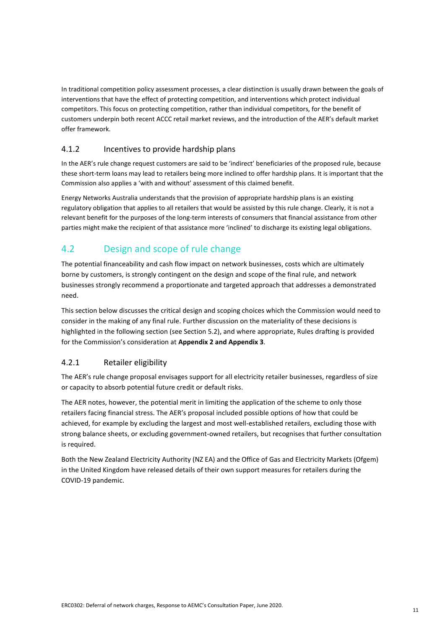In traditional competition policy assessment processes, a clear distinction is usually drawn between the goals of interventions that have the effect of protecting competition, and interventions which protect individual competitors. This focus on protecting competition, rather than individual competitors, for the benefit of customers underpin both recent ACCC retail market reviews, and the introduction of the AER's default market offer framework.

#### 4.1.2 Incentives to provide hardship plans

In the AER's rule change request customers are said to be 'indirect' beneficiaries of the proposed rule, because these short-term loans may lead to retailers being more inclined to offer hardship plans. It is important that the Commission also applies a 'with and without' assessment of this claimed benefit.

Energy Networks Australia understands that the provision of appropriate hardship plans is an existing regulatory obligation that applies to all retailers that would be assisted by this rule change. Clearly, it is not a relevant benefit for the purposes of the long-term interests of consumers that financial assistance from other parties might make the recipient of that assistance more 'inclined' to discharge its existing legal obligations.

### 4.2 Design and scope of rule change

The potential financeability and cash flow impact on network businesses, costs which are ultimately borne by customers, is strongly contingent on the design and scope of the final rule, and network businesses strongly recommend a proportionate and targeted approach that addresses a demonstrated need.

This section below discusses the critical design and scoping choices which the Commission would need to consider in the making of any final rule. Further discussion on the materiality of these decisions is highlighted in the following section (see Section 5.2), and where appropriate, Rules drafting is provided for the Commission's consideration at **Appendix 2 and Appendix 3**.

#### 4.2.1 Retailer eligibility

The AER's rule change proposal envisages support for all electricity retailer businesses, regardless of size or capacity to absorb potential future credit or default risks.

The AER notes, however, the potential merit in limiting the application of the scheme to only those retailers facing financial stress. The AER's proposal included possible options of how that could be achieved, for example by excluding the largest and most well-established retailers, excluding those with strong balance sheets, or excluding government-owned retailers, but recognises that further consultation is required.

Both the New Zealand Electricity Authority (NZ EA) and the Office of Gas and Electricity Markets (Ofgem) in the United Kingdom have released details of their own support measures for retailers during the COVID-19 pandemic.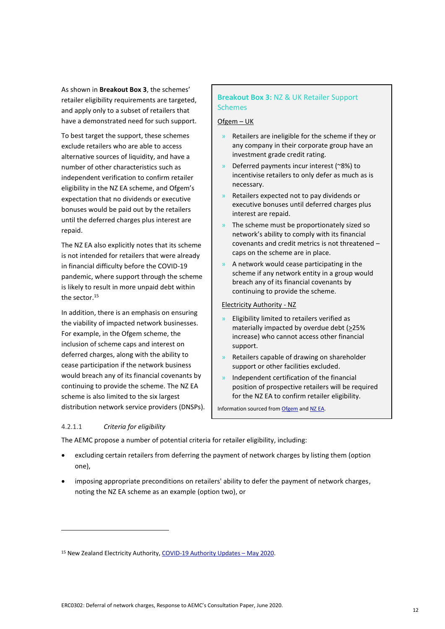As shown in **Breakout Box 3**, the schemes' retailer eligibility requirements are targeted, and apply only to a subset of retailers that have a demonstrated need for such support.

To best target the support, these schemes exclude retailers who are able to access alternative sources of liquidity, and have a number of other characteristics such as independent verification to confirm retailer eligibility in the NZ EA scheme, and Ofgem's expectation that no dividends or executive bonuses would be paid out by the retailers until the deferred charges plus interest are repaid.

The NZ EA also explicitly notes that its scheme is not intended for retailers that were already in financial difficulty before the COVID-19 pandemic, where support through the scheme is likely to result in more unpaid debt within the sector.<sup>15</sup>

In addition, there is an emphasis on ensuring the viability of impacted network businesses. For example, in the Ofgem scheme, the inclusion of scheme caps and interest on deferred charges, along with the ability to cease participation if the network business would breach any of its financial covenants by continuing to provide the scheme. The NZ EA scheme is also limited to the six largest distribution network service providers (DNSPs).

#### 4.2.1.1 *Criteria for eligibility*

#### **Breakout Box 3:** NZ & UK Retailer Support **Schemes**

#### Ofgem – UK

- » Retailers are ineligible for the scheme if they or any company in their corporate group have an investment grade credit rating.
- » Deferred payments incur interest (~8%) to incentivise retailers to only defer as much as is necessary.
- » Retailers expected not to pay dividends or executive bonuses until deferred charges plus interest are repaid.
- The scheme must be proportionately sized so network's ability to comply with its financial covenants and credit metrics is not threatened – caps on the scheme are in place.
- » A network would cease participating in the scheme if any network entity in a group would breach any of its financial covenants by continuing to provide the scheme.

#### Electricity Authority - NZ

- » Eligibility limited to retailers verified as materially impacted by overdue debt (>25% increase) who cannot access other financial support.
- » Retailers capable of drawing on shareholder support or other facilities excluded.
- » Independent certification of the financial position of prospective retailers will be required for the NZ EA to confirm retailer eligibility.

Information sourced fro[m Ofgem](https://www.ofgem.gov.uk/system/files/docs/2020/06/open_letter_on_relaxing_network_charge_payment_terms_1.pdf) an[d NZ EA.](https://www.ea.govt.nz/code-and-compliance/the-code/part-12a-distributor-use-of-system-agreements-and-distributor-tariffs/)

The AEMC propose a number of potential criteria for retailer eligibility, including:

- excluding certain retailers from deferring the payment of network charges by listing them (option one),
- imposing appropriate preconditions on retailers' ability to defer the payment of network charges, noting the NZ EA scheme as an example (option two), or

<sup>15</sup> New Zealand Electricity Authority, [COVID-19 Authority Updates](https://www.ea.govt.nz/about-us/media-and-publications/covid-19/authority-update/httpswww-ea-govt-nzabout-usmedia-and-publicationscovid-19authority-updatemay-2020) – May 2020.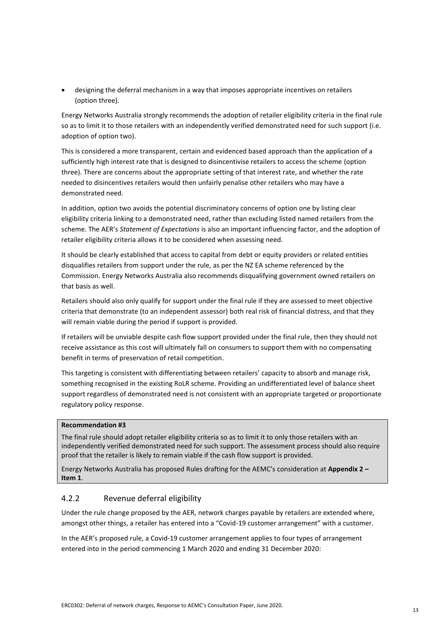• designing the deferral mechanism in a way that imposes appropriate incentives on retailers (option three).

Energy Networks Australia strongly recommends the adoption of retailer eligibility criteria in the final rule so as to limit it to those retailers with an independently verified demonstrated need for such support (i.e. adoption of option two).

This is considered a more transparent, certain and evidenced based approach than the application of a sufficiently high interest rate that is designed to disincentivise retailers to access the scheme (option three). There are concerns about the appropriate setting of that interest rate, and whether the rate needed to disincentives retailers would then unfairly penalise other retailers who may have a demonstrated need.

In addition, option two avoids the potential discriminatory concerns of option one by listing clear eligibility criteria linking to a demonstrated need, rather than excluding listed named retailers from the scheme. The AER's *Statement of Expectations* is also an important influencing factor, and the adoption of retailer eligibility criteria allows it to be considered when assessing need.

It should be clearly established that access to capital from debt or equity providers or related entities disqualifies retailers from support under the rule, as per the NZ EA scheme referenced by the Commission. Energy Networks Australia also recommends disqualifying government owned retailers on that basis as well.

Retailers should also only qualify for support under the final rule if they are assessed to meet objective criteria that demonstrate (to an independent assessor) both real risk of financial distress, and that they will remain viable during the period if support is provided.

If retailers will be unviable despite cash flow support provided under the final rule, then they should not receive assistance as this cost will ultimately fall on consumers to support them with no compensating benefit in terms of preservation of retail competition.

This targeting is consistent with differentiating between retailers' capacity to absorb and manage risk, something recognised in the existing RoLR scheme. Providing an undifferentiated level of balance sheet support regardless of demonstrated need is not consistent with an appropriate targeted or proportionate regulatory policy response.

#### **Recommendation #3**

The final rule should adopt retailer eligibility criteria so as to limit it to only those retailers with an independently verified demonstrated need for such support. The assessment process should also require proof that the retailer is likely to remain viable if the cash flow support is provided.

Energy Networks Australia has proposed Rules drafting for the AEMC's consideration at **Appendix 2 – Item 1**.

#### 4.2.2 Revenue deferral eligibility

Under the rule change proposed by the AER, network charges payable by retailers are extended where, amongst other things, a retailer has entered into a "Covid-19 customer arrangement" with a customer.

In the AER's proposed rule, a Covid-19 customer arrangement applies to four types of arrangement entered into in the period commencing 1 March 2020 and ending 31 December 2020: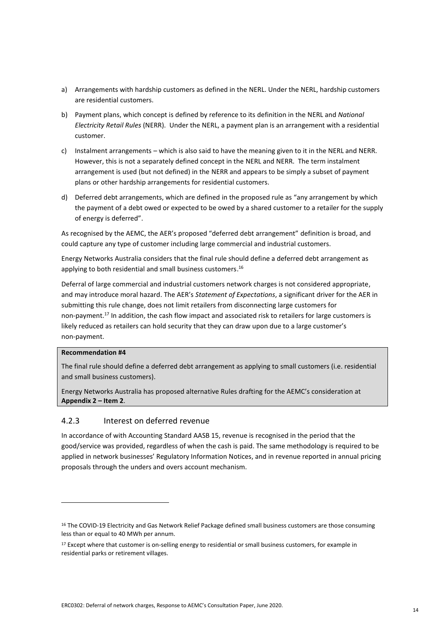- a) Arrangements with hardship customers as defined in the NERL. Under the NERL, hardship customers are residential customers.
- b) Payment plans, which concept is defined by reference to its definition in the NERL and *National Electricity Retail Rules* (NERR). Under the NERL, a payment plan is an arrangement with a residential customer.
- c) Instalment arrangements which is also said to have the meaning given to it in the NERL and NERR. However, this is not a separately defined concept in the NERL and NERR. The term instalment arrangement is used (but not defined) in the NERR and appears to be simply a subset of payment plans or other hardship arrangements for residential customers.
- d) Deferred debt arrangements, which are defined in the proposed rule as "any arrangement by which the payment of a debt owed or expected to be owed by a shared customer to a retailer for the supply of energy is deferred".

As recognised by the AEMC, the AER's proposed "deferred debt arrangement" definition is broad, and could capture any type of customer including large commercial and industrial customers.

Energy Networks Australia considers that the final rule should define a deferred debt arrangement as applying to both residential and small business customers.<sup>16</sup>

Deferral of large commercial and industrial customers network charges is not considered appropriate, and may introduce moral hazard. The AER's *Statement of Expectations*, a significant driver for the AER in submitting this rule change, does not limit retailers from disconnecting large customers for non-payment.<sup>17</sup> In addition, the cash flow impact and associated risk to retailers for large customers is likely reduced as retailers can hold security that they can draw upon due to a large customer's non-payment.

#### **Recommendation #4**

The final rule should define a deferred debt arrangement as applying to small customers (i.e. residential and small business customers).

Energy Networks Australia has proposed alternative Rules drafting for the AEMC's consideration at **Appendix 2 – Item 2**.

#### 4.2.3 Interest on deferred revenue

In accordance of with Accounting Standard AASB 15, revenue is recognised in the period that the good/service was provided, regardless of when the cash is paid. The same methodology is required to be applied in network businesses' Regulatory Information Notices, and in revenue reported in annual pricing proposals through the unders and overs account mechanism.

<sup>&</sup>lt;sup>16</sup> The COVID-19 Electricity and Gas Network Relief Package defined small business customers are those consuming less than or equal to 40 MWh per annum.

<sup>&</sup>lt;sup>17</sup> Except where that customer is on-selling energy to residential or small business customers, for example in residential parks or retirement villages.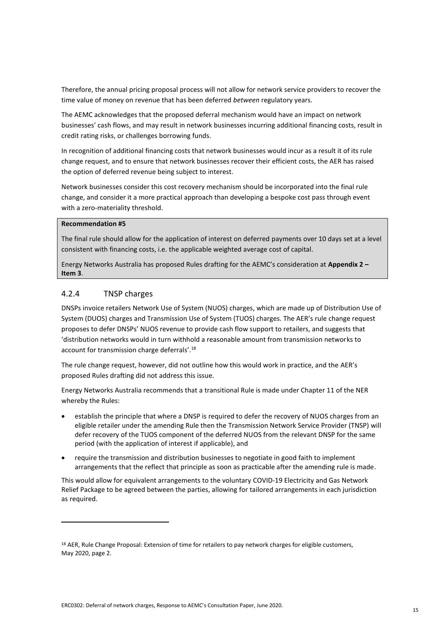Therefore, the annual pricing proposal process will not allow for network service providers to recover the time value of money on revenue that has been deferred *between* regulatory years.

The AEMC acknowledges that the proposed deferral mechanism would have an impact on network businesses' cash flows, and may result in network businesses incurring additional financing costs, result in credit rating risks, or challenges borrowing funds.

In recognition of additional financing costs that network businesses would incur as a result it of its rule change request, and to ensure that network businesses recover their efficient costs, the AER has raised the option of deferred revenue being subject to interest.

Network businesses consider this cost recovery mechanism should be incorporated into the final rule change, and consider it a more practical approach than developing a bespoke cost pass through event with a zero-materiality threshold.

#### **Recommendation #5**

The final rule should allow for the application of interest on deferred payments over 10 days set at a level consistent with financing costs, i.e. the applicable weighted average cost of capital.

Energy Networks Australia has proposed Rules drafting for the AEMC's consideration at **Appendix 2 – Item 3**.

#### 4.2.4 TNSP charges

DNSPs invoice retailers Network Use of System (NUOS) charges, which are made up of Distribution Use of System (DUOS) charges and Transmission Use of System (TUOS) charges. The AER's rule change request proposes to defer DNSPs' NUOS revenue to provide cash flow support to retailers, and suggests that 'distribution networks would in turn withhold a reasonable amount from transmission networks to account for transmission charge deferrals'.<sup>18</sup>

The rule change request, however, did not outline how this would work in practice, and the AER's proposed Rules drafting did not address this issue.

Energy Networks Australia recommends that a transitional Rule is made under Chapter 11 of the NER whereby the Rules:

- establish the principle that where a DNSP is required to defer the recovery of NUOS charges from an eligible retailer under the amending Rule then the Transmission Network Service Provider (TNSP) will defer recovery of the TUOS component of the deferred NUOS from the relevant DNSP for the same period (with the application of interest if applicable), and
- require the transmission and distribution businesses to negotiate in good faith to implement arrangements that the reflect that principle as soon as practicable after the amending rule is made.

This would allow for equivalent arrangements to the voluntary COVID-19 Electricity and Gas Network Relief Package to be agreed between the parties, allowing for tailored arrangements in each jurisdiction as required.

<sup>&</sup>lt;sup>18</sup> AER, Rule Change Proposal: Extension of time for retailers to pay network charges for eligible customers, May 2020, page 2.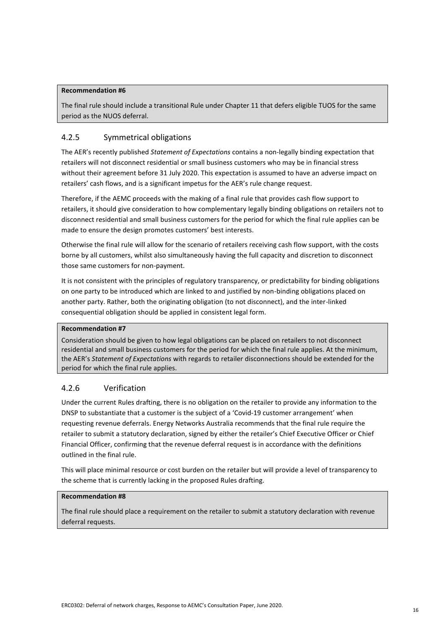#### **Recommendation #6**

The final rule should include a transitional Rule under Chapter 11 that defers eligible TUOS for the same period as the NUOS deferral.

#### 4.2.5 Symmetrical obligations

The AER's recently published *Statement of Expectations* contains a non-legally binding expectation that retailers will not disconnect residential or small business customers who may be in financial stress without their agreement before 31 July 2020. This expectation is assumed to have an adverse impact on retailers' cash flows, and is a significant impetus for the AER's rule change request.

Therefore, if the AEMC proceeds with the making of a final rule that provides cash flow support to retailers, it should give consideration to how complementary legally binding obligations on retailers not to disconnect residential and small business customers for the period for which the final rule applies can be made to ensure the design promotes customers' best interests.

Otherwise the final rule will allow for the scenario of retailers receiving cash flow support, with the costs borne by all customers, whilst also simultaneously having the full capacity and discretion to disconnect those same customers for non-payment.

It is not consistent with the principles of regulatory transparency, or predictability for binding obligations on one party to be introduced which are linked to and justified by non-binding obligations placed on another party. Rather, both the originating obligation (to not disconnect), and the inter-linked consequential obligation should be applied in consistent legal form.

#### **Recommendation #7**

Consideration should be given to how legal obligations can be placed on retailers to not disconnect residential and small business customers for the period for which the final rule applies. At the minimum, the AER's *Statement of Expectations* with regards to retailer disconnections should be extended for the period for which the final rule applies.

#### 4.2.6 Verification

Under the current Rules drafting, there is no obligation on the retailer to provide any information to the DNSP to substantiate that a customer is the subject of a 'Covid-19 customer arrangement' when requesting revenue deferrals. Energy Networks Australia recommends that the final rule require the retailer to submit a statutory declaration, signed by either the retailer's Chief Executive Officer or Chief Financial Officer, confirming that the revenue deferral request is in accordance with the definitions outlined in the final rule.

This will place minimal resource or cost burden on the retailer but will provide a level of transparency to the scheme that is currently lacking in the proposed Rules drafting.

#### **Recommendation #8**

The final rule should place a requirement on the retailer to submit a statutory declaration with revenue deferral requests.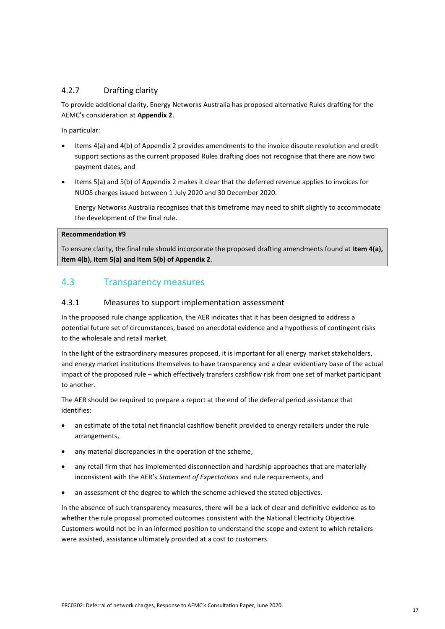#### 4.2.7 Drafting clarity

To provide additional clarity, Energy Networks Australia has proposed alternative Rules drafting for the AEMC's consideration at **Appendix 2**.

In particular:

- Items 4(a) and 4(b) of Appendix 2 provides amendments to the invoice dispute resolution and credit support sections as the current proposed Rules drafting does not recognise that there are now two payment dates, and
- Items 5(a) and 5(b) of Appendix 2 makes it clear that the deferred revenue applies to invoices for NUOS charges issued between 1 July 2020 and 30 December 2020.

Energy Networks Australia recognises that this timeframe may need to shift slightly to accommodate the development of the final rule.

#### **Recommendation #9**

To ensure clarity, the final rule should incorporate the proposed drafting amendments found at **Item 4(a), Item 4(b), Item 5(a) and Item 5(b) of Appendix 2**.

### 4.3 Transparency measures

#### 4.3.1 Measures to support implementation assessment

In the proposed rule change application, the AER indicates that it has been designed to address a potential future set of circumstances, based on anecdotal evidence and a hypothesis of contingent risks to the wholesale and retail market.

In the light of the extraordinary measures proposed, it is important for all energy market stakeholders, and energy market institutions themselves to have transparency and a clear evidentiary base of the actual impact of the proposed rule – which effectively transfers cashflow risk from one set of market participant to another.

The AER should be required to prepare a report at the end of the deferral period assistance that identifies:

- an estimate of the total net financial cashflow benefit provided to energy retailers under the rule arrangements,
- any material discrepancies in the operation of the scheme,
- any retail firm that has implemented disconnection and hardship approaches that are materially inconsistent with the AER's *Statement of Expectations* and rule requirements, and
- an assessment of the degree to which the scheme achieved the stated objectives.

In the absence of such transparency measures, there will be a lack of clear and definitive evidence as to whether the rule proposal promoted outcomes consistent with the National Electricity Objective. Customers would not be in an informed position to understand the scope and extent to which retailers were assisted, assistance ultimately provided at a cost to customers.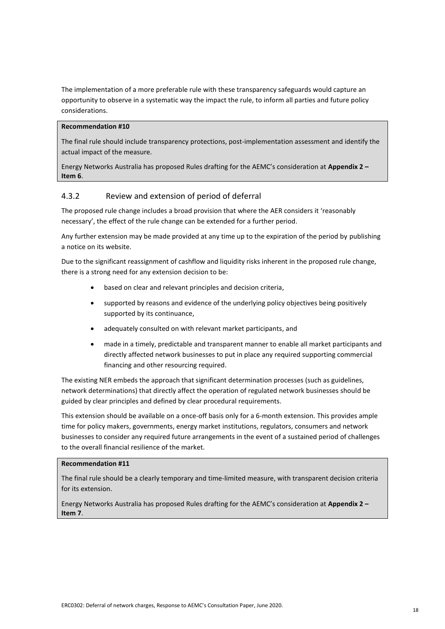The implementation of a more preferable rule with these transparency safeguards would capture an opportunity to observe in a systematic way the impact the rule, to inform all parties and future policy considerations.

#### **Recommendation #10**

The final rule should include transparency protections, post-implementation assessment and identify the actual impact of the measure.

Energy Networks Australia has proposed Rules drafting for the AEMC's consideration at **Appendix 2 – Item 6**.

#### 4.3.2 Review and extension of period of deferral

The proposed rule change includes a broad provision that where the AER considers it 'reasonably necessary', the effect of the rule change can be extended for a further period.

Any further extension may be made provided at any time up to the expiration of the period by publishing a notice on its website.

Due to the significant reassignment of cashflow and liquidity risks inherent in the proposed rule change, there is a strong need for any extension decision to be:

- based on clear and relevant principles and decision criteria,
- supported by reasons and evidence of the underlying policy objectives being positively supported by its continuance,
- adequately consulted on with relevant market participants, and
- made in a timely, predictable and transparent manner to enable all market participants and directly affected network businesses to put in place any required supporting commercial financing and other resourcing required.

The existing NER embeds the approach that significant determination processes (such as guidelines, network determinations) that directly affect the operation of regulated network businesses should be guided by clear principles and defined by clear procedural requirements.

This extension should be available on a once-off basis only for a 6-month extension. This provides ample time for policy makers, governments, energy market institutions, regulators, consumers and network businesses to consider any required future arrangements in the event of a sustained period of challenges to the overall financial resilience of the market.

#### **Recommendation #11**

The final rule should be a clearly temporary and time-limited measure, with transparent decision criteria for its extension.

Energy Networks Australia has proposed Rules drafting for the AEMC's consideration at **Appendix 2 – Item 7**.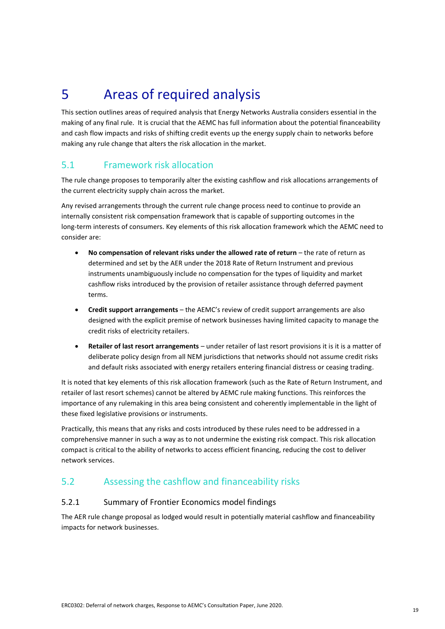## 5 Areas of required analysis

This section outlines areas of required analysis that Energy Networks Australia considers essential in the making of any final rule. It is crucial that the AEMC has full information about the potential financeability and cash flow impacts and risks of shifting credit events up the energy supply chain to networks before making any rule change that alters the risk allocation in the market.

### 5.1 Framework risk allocation

The rule change proposes to temporarily alter the existing cashflow and risk allocations arrangements of the current electricity supply chain across the market.

Any revised arrangements through the current rule change process need to continue to provide an internally consistent risk compensation framework that is capable of supporting outcomes in the long-term interests of consumers. Key elements of this risk allocation framework which the AEMC need to consider are:

- **No compensation of relevant risks under the allowed rate of return** the rate of return as determined and set by the AER under the 2018 Rate of Return Instrument and previous instruments unambiguously include no compensation for the types of liquidity and market cashflow risks introduced by the provision of retailer assistance through deferred payment terms.
- **Credit support arrangements** the AEMC's review of credit support arrangements are also designed with the explicit premise of network businesses having limited capacity to manage the credit risks of electricity retailers.
- **Retailer of last resort arrangements** under retailer of last resort provisions it is it is a matter of deliberate policy design from all NEM jurisdictions that networks should not assume credit risks and default risks associated with energy retailers entering financial distress or ceasing trading.

It is noted that key elements of this risk allocation framework (such as the Rate of Return Instrument, and retailer of last resort schemes) cannot be altered by AEMC rule making functions. This reinforces the importance of any rulemaking in this area being consistent and coherently implementable in the light of these fixed legislative provisions or instruments.

Practically, this means that any risks and costs introduced by these rules need to be addressed in a comprehensive manner in such a way as to not undermine the existing risk compact. This risk allocation compact is critical to the ability of networks to access efficient financing, reducing the cost to deliver network services.

### 5.2 Assessing the cashflow and financeability risks

#### 5.2.1 Summary of Frontier Economics model findings

The AER rule change proposal as lodged would result in potentially material cashflow and financeability impacts for network businesses.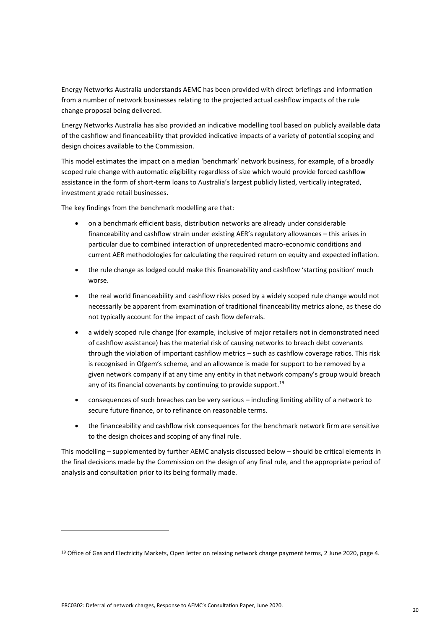Energy Networks Australia understands AEMC has been provided with direct briefings and information from a number of network businesses relating to the projected actual cashflow impacts of the rule change proposal being delivered.

Energy Networks Australia has also provided an indicative modelling tool based on publicly available data of the cashflow and financeability that provided indicative impacts of a variety of potential scoping and design choices available to the Commission.

This model estimates the impact on a median 'benchmark' network business, for example, of a broadly scoped rule change with automatic eligibility regardless of size which would provide forced cashflow assistance in the form of short-term loans to Australia's largest publicly listed, vertically integrated, investment grade retail businesses.

The key findings from the benchmark modelling are that:

- on a benchmark efficient basis, distribution networks are already under considerable financeability and cashflow strain under existing AER's regulatory allowances – this arises in particular due to combined interaction of unprecedented macro-economic conditions and current AER methodologies for calculating the required return on equity and expected inflation.
- the rule change as lodged could make this financeability and cashflow 'starting position' much worse.
- the real world financeability and cashflow risks posed by a widely scoped rule change would not necessarily be apparent from examination of traditional financeability metrics alone, as these do not typically account for the impact of cash flow deferrals.
- a widely scoped rule change (for example, inclusive of major retailers not in demonstrated need of cashflow assistance) has the material risk of causing networks to breach debt covenants through the violation of important cashflow metrics – such as cashflow coverage ratios. This risk is recognised in Ofgem's scheme, and an allowance is made for support to be removed by a given network company if at any time any entity in that network company's group would breach any of its financial covenants by continuing to provide support.<sup>19</sup>
- consequences of such breaches can be very serious including limiting ability of a network to secure future finance, or to refinance on reasonable terms.
- the financeability and cashflow risk consequences for the benchmark network firm are sensitive to the design choices and scoping of any final rule.

This modelling – supplemented by further AEMC analysis discussed below – should be critical elements in the final decisions made by the Commission on the design of any final rule, and the appropriate period of analysis and consultation prior to its being formally made.

<sup>19</sup> Office of Gas and Electricity Markets, Open letter on relaxing network charge payment terms, 2 June 2020, page 4.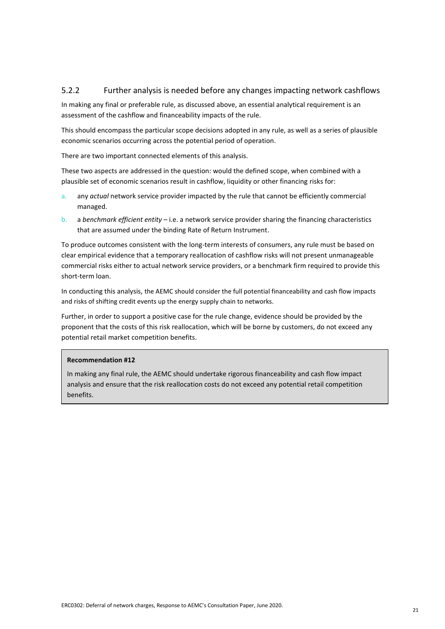#### 5.2.2 Further analysis is needed before any changes impacting network cashflows

In making any final or preferable rule, as discussed above, an essential analytical requirement is an assessment of the cashflow and financeability impacts of the rule.

This should encompass the particular scope decisions adopted in any rule, as well as a series of plausible economic scenarios occurring across the potential period of operation.

There are two important connected elements of this analysis.

These two aspects are addressed in the question: would the defined scope, when combined with a plausible set of economic scenarios result in cashflow, liquidity or other financing risks for:

- a. any *actual* network service provider impacted by the rule that cannot be efficiently commercial managed.
- b. a *benchmark efficient entity* i.e. a network service provider sharing the financing characteristics that are assumed under the binding Rate of Return Instrument.

To produce outcomes consistent with the long-term interests of consumers, any rule must be based on clear empirical evidence that a temporary reallocation of cashflow risks will not present unmanageable commercial risks either to actual network service providers, or a benchmark firm required to provide this short-term loan.

In conducting this analysis, the AEMC should consider the full potential financeability and cash flow impacts and risks of shifting credit events up the energy supply chain to networks.

Further, in order to support a positive case for the rule change, evidence should be provided by the proponent that the costs of this risk reallocation, which will be borne by customers, do not exceed any potential retail market competition benefits.

#### **Recommendation #12**

In making any final rule, the AEMC should undertake rigorous financeability and cash flow impact analysis and ensure that the risk reallocation costs do not exceed any potential retail competition benefits.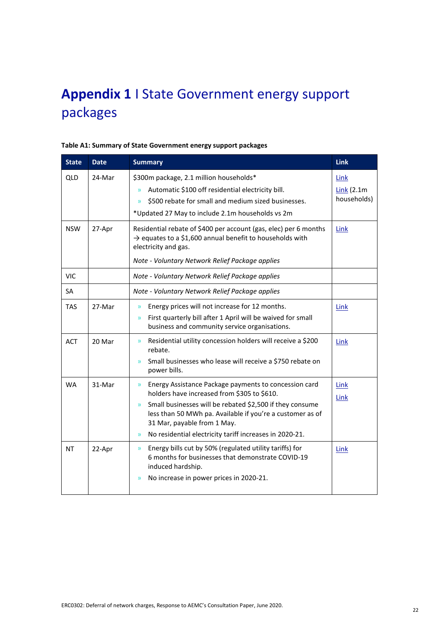## **Appendix 1** I State Government energy support packages

| <b>State</b> | <b>Date</b> | <b>Summary</b>                                                                                                                                                                                                                                                                                                                                                  | <b>Link</b>                                 |
|--------------|-------------|-----------------------------------------------------------------------------------------------------------------------------------------------------------------------------------------------------------------------------------------------------------------------------------------------------------------------------------------------------------------|---------------------------------------------|
| <b>QLD</b>   | 24-Mar      | \$300m package, 2.1 million households*<br>Automatic \$100 off residential electricity bill.<br>y)<br>\$500 rebate for small and medium sized businesses.<br>$\mathcal{Y}$<br>*Updated 27 May to include 2.1m households vs 2m                                                                                                                                  | <b>Link</b><br>$Link (2.1m)$<br>households) |
| <b>NSW</b>   | 27-Apr      | Residential rebate of \$400 per account (gas, elec) per 6 months<br>$\rightarrow$ equates to a \$1,600 annual benefit to households with<br>electricity and gas.<br>Note - Voluntary Network Relief Package applies                                                                                                                                             | Link                                        |
| <b>VIC</b>   |             | Note - Voluntary Network Relief Package applies                                                                                                                                                                                                                                                                                                                 |                                             |
| <b>SA</b>    |             | Note - Voluntary Network Relief Package applies                                                                                                                                                                                                                                                                                                                 |                                             |
| <b>TAS</b>   | 27-Mar      | Energy prices will not increase for 12 months.<br>$\mathcal{Y}$<br>First quarterly bill after 1 April will be waived for small<br>$\mathcal{Y}$<br>business and community service organisations.                                                                                                                                                                | Link                                        |
| <b>ACT</b>   | 20 Mar      | Residential utility concession holders will receive a \$200<br>$\mathcal{Y}$<br>rebate.<br>Small businesses who lease will receive a \$750 rebate on<br>$\mathcal{Y}$<br>power bills.                                                                                                                                                                           | Link                                        |
| <b>WA</b>    | 31-Mar      | Energy Assistance Package payments to concession card<br>y)<br>holders have increased from \$305 to \$610.<br>Small businesses will be rebated \$2,500 if they consume<br>$\mathcal{Y}$<br>less than 50 MWh pa. Available if you're a customer as of<br>31 Mar, payable from 1 May.<br>No residential electricity tariff increases in 2020-21.<br>$\mathcal{Y}$ | <b>Link</b><br>Link                         |
| <b>NT</b>    | 22-Apr      | Energy bills cut by 50% (regulated utility tariffs) for<br>$\mathcal{Y}$<br>6 months for businesses that demonstrate COVID-19<br>induced hardship.<br>No increase in power prices in 2020-21.<br>$\mathcal{Y}$                                                                                                                                                  | Link                                        |

#### **Table A1: Summary of State Government energy support packages**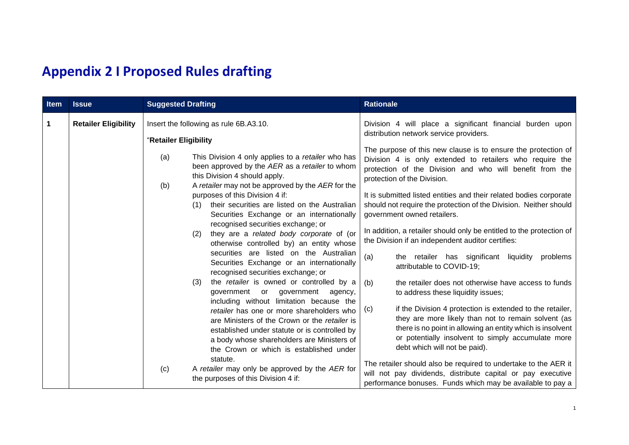## **Appendix 2 I Proposed Rules drafting**

| Item | <b>Issue</b>                | <b>Suggested Drafting</b>                                                                                                                                                                                | <b>Rationale</b>                                                                                                                                                                             |
|------|-----------------------------|----------------------------------------------------------------------------------------------------------------------------------------------------------------------------------------------------------|----------------------------------------------------------------------------------------------------------------------------------------------------------------------------------------------|
| 1    | <b>Retailer Eligibility</b> | Insert the following as rule 6B.A3.10.<br>"Retailer Eligibility                                                                                                                                          | Division 4 will place a significant financial burden upon<br>distribution network service providers.<br>The purpose of this new clause is to ensure the protection of                        |
|      |                             | This Division 4 only applies to a retailer who has<br>(a)<br>been approved by the AER as a retailer to whom<br>this Division 4 should apply.<br>A retailer may not be approved by the AER for the<br>(b) | Division 4 is only extended to retailers who require the<br>protection of the Division and who will benefit from the<br>protection of the Division.                                          |
|      |                             | purposes of this Division 4 if:<br>their securities are listed on the Australian<br>(1)<br>Securities Exchange or an internationally<br>recognised securities exchange; or                               | It is submitted listed entities and their related bodies corporate<br>should not require the protection of the Division. Neither should<br>government owned retailers.                       |
|      |                             | they are a related body corporate of (or<br>(2)<br>otherwise controlled by) an entity whose                                                                                                              | In addition, a retailer should only be entitled to the protection of<br>the Division if an independent auditor certifies:                                                                    |
|      |                             | securities are listed on the Australian<br>Securities Exchange or an internationally<br>recognised securities exchange; or                                                                               | (a)<br>the retailer has significant liquidity<br>problems<br>attributable to COVID-19;                                                                                                       |
|      |                             | the retailer is owned or controlled by a<br>(3)<br>government or government agency,<br>including without limitation because the                                                                          | the retailer does not otherwise have access to funds<br>(b)<br>to address these liquidity issues;                                                                                            |
|      |                             | retailer has one or more shareholders who<br>are Ministers of the Crown or the retailer is<br>established under statute or is controlled by                                                              | if the Division 4 protection is extended to the retailer,<br>(c)<br>they are more likely than not to remain solvent (as<br>there is no point in allowing an entity which is insolvent        |
|      |                             | a body whose shareholders are Ministers of<br>the Crown or which is established under<br>statute.                                                                                                        | or potentially insolvent to simply accumulate more<br>debt which will not be paid).                                                                                                          |
|      |                             | A retailer may only be approved by the AER for<br>(c)<br>the purposes of this Division 4 if:                                                                                                             | The retailer should also be required to undertake to the AER it<br>will not pay dividends, distribute capital or pay executive<br>performance bonuses. Funds which may be available to pay a |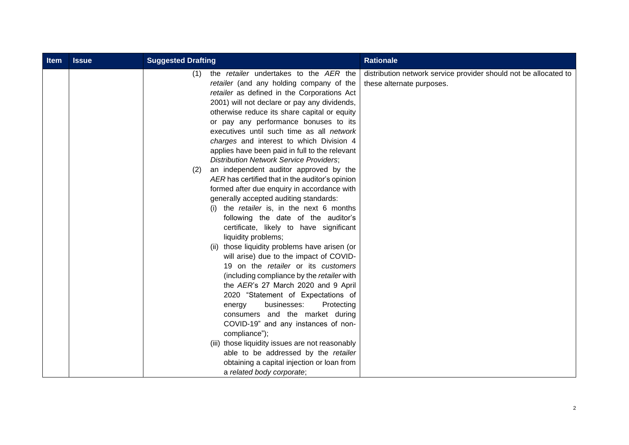| <b>Item</b> | <b>Issue</b> | <b>Suggested Drafting</b>                                                                                                                                                                                                                                                                                                                                                                                                                                                                                                                                                                                                                                                                                                                                                                                                                                                                                                                                                                                                                                                                                                                                                                                                                                                                                                                                                                                      | <b>Rationale</b>                                                                              |
|-------------|--------------|----------------------------------------------------------------------------------------------------------------------------------------------------------------------------------------------------------------------------------------------------------------------------------------------------------------------------------------------------------------------------------------------------------------------------------------------------------------------------------------------------------------------------------------------------------------------------------------------------------------------------------------------------------------------------------------------------------------------------------------------------------------------------------------------------------------------------------------------------------------------------------------------------------------------------------------------------------------------------------------------------------------------------------------------------------------------------------------------------------------------------------------------------------------------------------------------------------------------------------------------------------------------------------------------------------------------------------------------------------------------------------------------------------------|-----------------------------------------------------------------------------------------------|
|             |              | the <i>retailer</i> undertakes to the AER the<br>(1)<br>retailer (and any holding company of the<br>retailer as defined in the Corporations Act<br>2001) will not declare or pay any dividends,<br>otherwise reduce its share capital or equity<br>or pay any performance bonuses to its<br>executives until such time as all network<br>charges and interest to which Division 4<br>applies have been paid in full to the relevant<br><b>Distribution Network Service Providers;</b><br>an independent auditor approved by the<br>(2)<br>AER has certified that in the auditor's opinion<br>formed after due enquiry in accordance with<br>generally accepted auditing standards:<br>(i) the retailer is, in the next 6 months<br>following the date of the auditor's<br>certificate, likely to have significant<br>liquidity problems;<br>(ii) those liquidity problems have arisen (or<br>will arise) due to the impact of COVID-<br>19 on the retailer or its customers<br>(including compliance by the retailer with<br>the AER's 27 March 2020 and 9 April<br>2020 "Statement of Expectations of<br>businesses:<br>Protecting<br>energy<br>consumers and the market during<br>COVID-19" and any instances of non-<br>compliance");<br>(iii) those liquidity issues are not reasonably<br>able to be addressed by the retailer<br>obtaining a capital injection or loan from<br>a related body corporate; | distribution network service provider should not be allocated to<br>these alternate purposes. |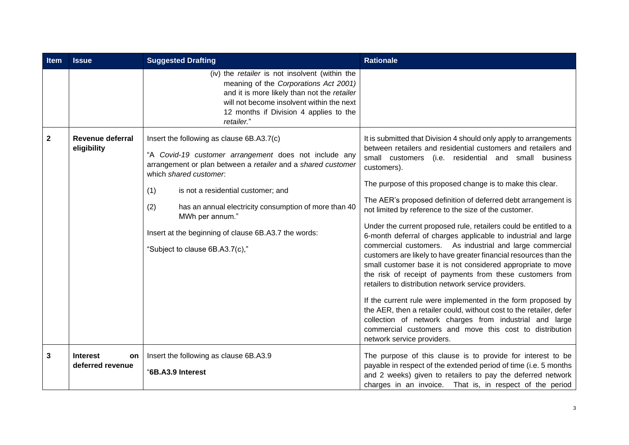| Item         | <b>Issue</b>                                     | <b>Suggested Drafting</b>                                                                                                                                                                                                                                                                                                                                                                                               | <b>Rationale</b>                                                                                                                                                                                                                                                                                                                                                                                                                                                                                                                                                                                                                                                                                                                                                                                                                                                                                                                                                                                                                                                                                                                                          |
|--------------|--------------------------------------------------|-------------------------------------------------------------------------------------------------------------------------------------------------------------------------------------------------------------------------------------------------------------------------------------------------------------------------------------------------------------------------------------------------------------------------|-----------------------------------------------------------------------------------------------------------------------------------------------------------------------------------------------------------------------------------------------------------------------------------------------------------------------------------------------------------------------------------------------------------------------------------------------------------------------------------------------------------------------------------------------------------------------------------------------------------------------------------------------------------------------------------------------------------------------------------------------------------------------------------------------------------------------------------------------------------------------------------------------------------------------------------------------------------------------------------------------------------------------------------------------------------------------------------------------------------------------------------------------------------|
|              |                                                  | (iv) the retailer is not insolvent (within the<br>meaning of the Corporations Act 2001)<br>and it is more likely than not the retailer<br>will not become insolvent within the next<br>12 months if Division 4 applies to the<br>retailer."                                                                                                                                                                             |                                                                                                                                                                                                                                                                                                                                                                                                                                                                                                                                                                                                                                                                                                                                                                                                                                                                                                                                                                                                                                                                                                                                                           |
| $\mathbf{2}$ | <b>Revenue deferral</b><br>eligibility           | Insert the following as clause 6B.A3.7(c)<br>"A Covid-19 customer arrangement does not include any<br>arrangement or plan between a retailer and a shared customer<br>which shared customer.<br>(1)<br>is not a residential customer; and<br>has an annual electricity consumption of more than 40<br>(2)<br>MWh per annum."<br>Insert at the beginning of clause 6B.A3.7 the words:<br>"Subject to clause 6B.A3.7(c)," | It is submitted that Division 4 should only apply to arrangements<br>between retailers and residential customers and retailers and<br>small customers (i.e. residential and small business<br>customers).<br>The purpose of this proposed change is to make this clear.<br>The AER's proposed definition of deferred debt arrangement is<br>not limited by reference to the size of the customer.<br>Under the current proposed rule, retailers could be entitled to a<br>6-month deferral of charges applicable to industrial and large<br>commercial customers. As industrial and large commercial<br>customers are likely to have greater financial resources than the<br>small customer base it is not considered appropriate to move<br>the risk of receipt of payments from these customers from<br>retailers to distribution network service providers.<br>If the current rule were implemented in the form proposed by<br>the AER, then a retailer could, without cost to the retailer, defer<br>collection of network charges from industrial and large<br>commercial customers and move this cost to distribution<br>network service providers. |
| 3            | <b>Interest</b><br><b>on</b><br>deferred revenue | Insert the following as clause 6B.A3.9<br>"6B.A3.9 Interest                                                                                                                                                                                                                                                                                                                                                             | The purpose of this clause is to provide for interest to be<br>payable in respect of the extended period of time (i.e. 5 months<br>and 2 weeks) given to retailers to pay the deferred network<br>charges in an invoice. That is, in respect of the period                                                                                                                                                                                                                                                                                                                                                                                                                                                                                                                                                                                                                                                                                                                                                                                                                                                                                                |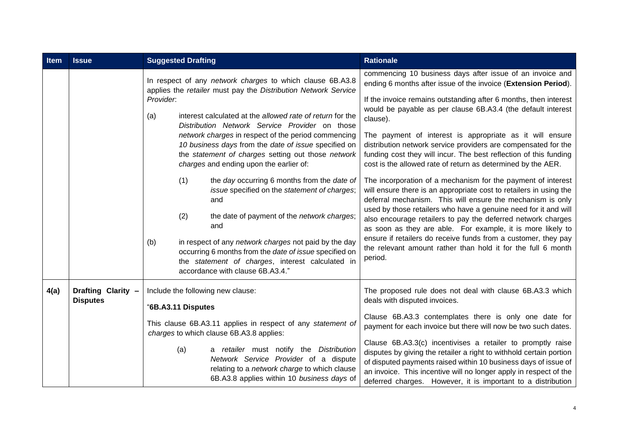| Item | <b>Issue</b>       | <b>Suggested Drafting</b>                                                                                                                                                                                                                                      | <b>Rationale</b>                                                                                                                                                                                                                                                                                                                           |
|------|--------------------|----------------------------------------------------------------------------------------------------------------------------------------------------------------------------------------------------------------------------------------------------------------|--------------------------------------------------------------------------------------------------------------------------------------------------------------------------------------------------------------------------------------------------------------------------------------------------------------------------------------------|
|      |                    | In respect of any network charges to which clause 6B.A3.8<br>applies the retailer must pay the Distribution Network Service                                                                                                                                    | commencing 10 business days after issue of an invoice and<br>ending 6 months after issue of the invoice (Extension Period).                                                                                                                                                                                                                |
|      |                    | Provider.<br>interest calculated at the allowed rate of return for the<br>(a)                                                                                                                                                                                  | If the invoice remains outstanding after 6 months, then interest<br>would be payable as per clause 6B.A3.4 (the default interest<br>clause).                                                                                                                                                                                               |
|      |                    | Distribution Network Service Provider on those<br>network charges in respect of the period commencing<br>10 business days from the date of issue specified on<br>the statement of charges setting out those network<br>charges and ending upon the earlier of: | The payment of interest is appropriate as it will ensure<br>distribution network service providers are compensated for the<br>funding cost they will incur. The best reflection of this funding<br>cost is the allowed rate of return as determined by the AER.                                                                            |
|      |                    | (1)<br>the day occurring 6 months from the date of<br>issue specified on the statement of charges;<br>and                                                                                                                                                      | The incorporation of a mechanism for the payment of interest<br>will ensure there is an appropriate cost to retailers in using the<br>deferral mechanism. This will ensure the mechanism is only                                                                                                                                           |
|      |                    | (2)<br>the date of payment of the network charges;<br>and                                                                                                                                                                                                      | used by those retailers who have a genuine need for it and will<br>also encourage retailers to pay the deferred network charges<br>as soon as they are able. For example, it is more likely to                                                                                                                                             |
|      |                    | in respect of any network charges not paid by the day<br>(b)<br>occurring 6 months from the date of issue specified on<br>the statement of charges, interest calculated in<br>accordance with clause 6B.A3.4."                                                 | ensure if retailers do receive funds from a customer, they pay<br>the relevant amount rather than hold it for the full 6 month<br>period.                                                                                                                                                                                                  |
| 4(a) | Drafting Clarity - | Include the following new clause:                                                                                                                                                                                                                              | The proposed rule does not deal with clause 6B.A3.3 which                                                                                                                                                                                                                                                                                  |
|      | <b>Disputes</b>    | "6B.A3.11 Disputes                                                                                                                                                                                                                                             | deals with disputed invoices.                                                                                                                                                                                                                                                                                                              |
|      |                    | This clause 6B.A3.11 applies in respect of any statement of<br>charges to which clause 6B.A3.8 applies:                                                                                                                                                        | Clause 6B.A3.3 contemplates there is only one date for<br>payment for each invoice but there will now be two such dates.                                                                                                                                                                                                                   |
|      |                    | a retailer must notify the Distribution<br>(a)<br>Network Service Provider of a dispute<br>relating to a network charge to which clause<br>6B.A3.8 applies within 10 business days of                                                                          | Clause 6B.A3.3(c) incentivises a retailer to promptly raise<br>disputes by giving the retailer a right to withhold certain portion<br>of disputed payments raised within 10 business days of issue of<br>an invoice. This incentive will no longer apply in respect of the<br>deferred charges. However, it is important to a distribution |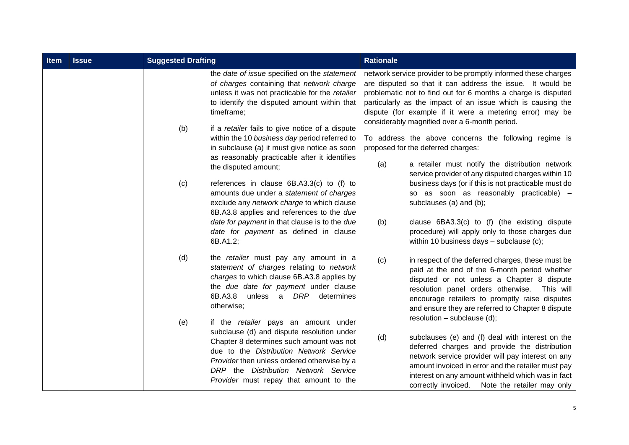| <b>Item</b> | <b>Issue</b> | <b>Suggested Drafting</b>                                                                                                                                                                                                                                                                                         | <b>Rationale</b>                                                                                                                                                                                                                                                                                                                                                          |
|-------------|--------------|-------------------------------------------------------------------------------------------------------------------------------------------------------------------------------------------------------------------------------------------------------------------------------------------------------------------|---------------------------------------------------------------------------------------------------------------------------------------------------------------------------------------------------------------------------------------------------------------------------------------------------------------------------------------------------------------------------|
|             |              | the date of issue specified on the statement<br>of charges containing that network charge<br>unless it was not practicable for the retailer<br>to identify the disputed amount within that<br>timeframe;                                                                                                          | network service provider to be promptly informed these charges<br>are disputed so that it can address the issue. It would be<br>problematic not to find out for 6 months a charge is disputed<br>particularly as the impact of an issue which is causing the<br>dispute (for example if it were a metering error) may be<br>considerably magnified over a 6-month period. |
|             |              | (b)<br>if a retailer fails to give notice of a dispute<br>within the 10 business day period referred to<br>in subclause (a) it must give notice as soon<br>as reasonably practicable after it identifies                                                                                                          | To address the above concerns the following regime is<br>proposed for the deferred charges:                                                                                                                                                                                                                                                                               |
|             |              | the disputed amount;<br>(c)<br>references in clause 6B.A3.3(c) to (f) to<br>amounts due under a statement of charges<br>exclude any network charge to which clause                                                                                                                                                | (a)<br>a retailer must notify the distribution network<br>service provider of any disputed charges within 10<br>business days (or if this is not practicable must do<br>so as soon as reasonably practicable) -<br>subclauses (a) and (b);                                                                                                                                |
|             |              | 6B.A3.8 applies and references to the due<br>date for payment in that clause is to the due<br>date for payment as defined in clause<br>6B.A1.2;                                                                                                                                                                   | clause 6BA3.3(c) to (f) (the existing dispute<br>(b)<br>procedure) will apply only to those charges due<br>within 10 business days $-$ subclause (c);                                                                                                                                                                                                                     |
|             |              | (d)<br>the retailer must pay any amount in a<br>statement of charges relating to network<br>charges to which clause 6B.A3.8 applies by<br>the due date for payment under clause<br>a DRP<br>6B.A3.8<br>unless<br>determines<br>otherwise;                                                                         | (c)<br>in respect of the deferred charges, these must be<br>paid at the end of the 6-month period whether<br>disputed or not unless a Chapter 8 dispute<br>resolution panel orders otherwise.<br>This will<br>encourage retailers to promptly raise disputes<br>and ensure they are referred to Chapter 8 dispute                                                         |
|             |              | (e)<br>if the retailer pays an amount under<br>subclause (d) and dispute resolution under<br>Chapter 8 determines such amount was not<br>due to the Distribution Network Service<br>Provider then unless ordered otherwise by a<br>DRP the Distribution Network Service<br>Provider must repay that amount to the | resolution $-$ subclause (d);<br>(d)<br>subclauses (e) and (f) deal with interest on the<br>deferred charges and provide the distribution<br>network service provider will pay interest on any<br>amount invoiced in error and the retailer must pay<br>interest on any amount withheld which was in fact<br>correctly invoiced. Note the retailer may only               |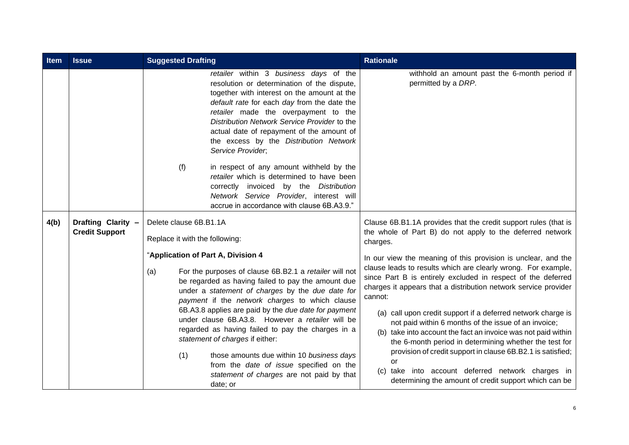| Item | <b>Issue</b>                                | <b>Suggested Drafting</b>                                                                                                                                                                                                                                                                                                                                                               | <b>Rationale</b>                                                                                                                                                                                                                                                                                                                                                   |
|------|---------------------------------------------|-----------------------------------------------------------------------------------------------------------------------------------------------------------------------------------------------------------------------------------------------------------------------------------------------------------------------------------------------------------------------------------------|--------------------------------------------------------------------------------------------------------------------------------------------------------------------------------------------------------------------------------------------------------------------------------------------------------------------------------------------------------------------|
|      |                                             | retailer within 3 business days of the<br>resolution or determination of the dispute,<br>together with interest on the amount at the<br>default rate for each day from the date the<br>retailer made the overpayment to the<br>Distribution Network Service Provider to the<br>actual date of repayment of the amount of<br>the excess by the Distribution Network<br>Service Provider; | withhold an amount past the 6-month period if<br>permitted by a DRP.                                                                                                                                                                                                                                                                                               |
|      |                                             | (f)<br>in respect of any amount withheld by the<br>retailer which is determined to have been<br>correctly invoiced by the Distribution<br>Network Service Provider, interest will<br>accrue in accordance with clause 6B.A3.9."                                                                                                                                                         |                                                                                                                                                                                                                                                                                                                                                                    |
| 4(b) | Drafting Clarity -<br><b>Credit Support</b> | Delete clause 6B.B1.1A<br>Replace it with the following:                                                                                                                                                                                                                                                                                                                                | Clause 6B.B1.1A provides that the credit support rules (that is<br>the whole of Part B) do not apply to the deferred network<br>charges.                                                                                                                                                                                                                           |
|      |                                             | "Application of Part A, Division 4<br>For the purposes of clause 6B.B2.1 a retailer will not<br>(a)<br>be regarded as having failed to pay the amount due<br>under a statement of charges by the due date for<br>payment if the network charges to which clause<br>6B.A3.8 applies are paid by the due date for payment                                                                 | In our view the meaning of this provision is unclear, and the<br>clause leads to results which are clearly wrong. For example,<br>since Part B is entirely excluded in respect of the deferred<br>charges it appears that a distribution network service provider<br>cannot:<br>(a) call upon credit support if a deferred network charge is                       |
|      |                                             | under clause 6B.A3.8. However a retailer will be<br>regarded as having failed to pay the charges in a<br>statement of charges if either:<br>(1)<br>those amounts due within 10 business days<br>from the date of issue specified on the<br>statement of charges are not paid by that<br>date; or                                                                                        | not paid within 6 months of the issue of an invoice;<br>(b) take into account the fact an invoice was not paid within<br>the 6-month period in determining whether the test for<br>provision of credit support in clause 6B.B2.1 is satisfied;<br>or<br>(c) take into account deferred network charges in<br>determining the amount of credit support which can be |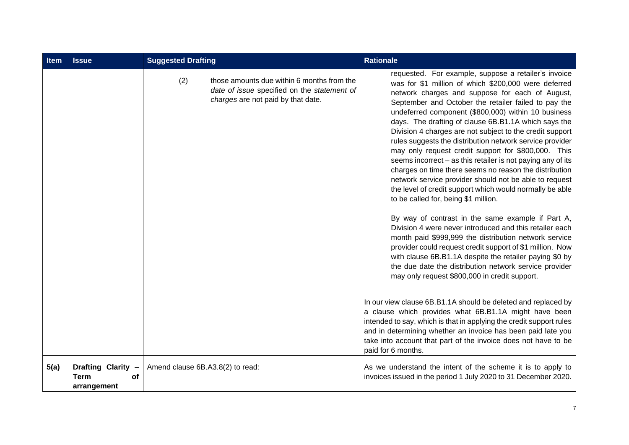| <b>Item</b> | <b>Issue</b>                                                  | <b>Suggested Drafting</b>        |                                                                                                                                 | <b>Rationale</b>                                                                                                                                                                                                                                                                                                                                                                                                                                                                                                                                                                                                                                                                                                                                                                                             |
|-------------|---------------------------------------------------------------|----------------------------------|---------------------------------------------------------------------------------------------------------------------------------|--------------------------------------------------------------------------------------------------------------------------------------------------------------------------------------------------------------------------------------------------------------------------------------------------------------------------------------------------------------------------------------------------------------------------------------------------------------------------------------------------------------------------------------------------------------------------------------------------------------------------------------------------------------------------------------------------------------------------------------------------------------------------------------------------------------|
|             |                                                               | (2)                              | those amounts due within 6 months from the<br>date of issue specified on the statement of<br>charges are not paid by that date. | requested. For example, suppose a retailer's invoice<br>was for \$1 million of which \$200,000 were deferred<br>network charges and suppose for each of August,<br>September and October the retailer failed to pay the<br>undeferred component (\$800,000) within 10 business<br>days. The drafting of clause 6B.B1.1A which says the<br>Division 4 charges are not subject to the credit support<br>rules suggests the distribution network service provider<br>may only request credit support for \$800,000. This<br>seems incorrect - as this retailer is not paying any of its<br>charges on time there seems no reason the distribution<br>network service provider should not be able to request<br>the level of credit support which would normally be able<br>to be called for, being \$1 million. |
|             |                                                               |                                  |                                                                                                                                 | By way of contrast in the same example if Part A,<br>Division 4 were never introduced and this retailer each<br>month paid \$999,999 the distribution network service<br>provider could request credit support of \$1 million. Now<br>with clause 6B.B1.1A despite the retailer paying \$0 by<br>the due date the distribution network service provider<br>may only request \$800,000 in credit support.                                                                                                                                                                                                                                                                                                                                                                                                     |
|             |                                                               |                                  |                                                                                                                                 | In our view clause 6B.B1.1A should be deleted and replaced by<br>a clause which provides what 6B.B1.1A might have been<br>intended to say, which is that in applying the credit support rules<br>and in determining whether an invoice has been paid late you<br>take into account that part of the invoice does not have to be<br>paid for 6 months.                                                                                                                                                                                                                                                                                                                                                                                                                                                        |
| 5(a)        | Drafting Clarity -<br><b>Term</b><br><b>of</b><br>arrangement | Amend clause 6B.A3.8(2) to read: |                                                                                                                                 | As we understand the intent of the scheme it is to apply to<br>invoices issued in the period 1 July 2020 to 31 December 2020.                                                                                                                                                                                                                                                                                                                                                                                                                                                                                                                                                                                                                                                                                |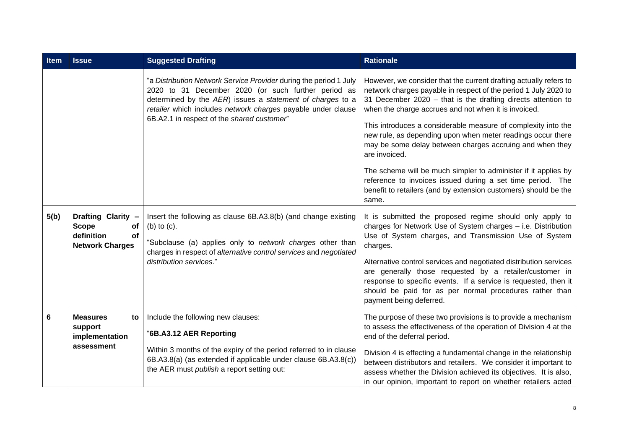| Item | <b>Issue</b>                                                                           | <b>Suggested Drafting</b>                                                                                                                                                                                                                                                                           | <b>Rationale</b>                                                                                                                                                                                                                                                                                                                                                                                                                                                                                                                                                                                                                                                                      |
|------|----------------------------------------------------------------------------------------|-----------------------------------------------------------------------------------------------------------------------------------------------------------------------------------------------------------------------------------------------------------------------------------------------------|---------------------------------------------------------------------------------------------------------------------------------------------------------------------------------------------------------------------------------------------------------------------------------------------------------------------------------------------------------------------------------------------------------------------------------------------------------------------------------------------------------------------------------------------------------------------------------------------------------------------------------------------------------------------------------------|
|      |                                                                                        | "a Distribution Network Service Provider during the period 1 July<br>2020 to 31 December 2020 (or such further period as<br>determined by the AER) issues a statement of charges to a<br>retailer which includes network charges payable under clause<br>6B.A2.1 in respect of the shared customer" | However, we consider that the current drafting actually refers to<br>network charges payable in respect of the period 1 July 2020 to<br>31 December 2020 - that is the drafting directs attention to<br>when the charge accrues and not when it is invoiced.<br>This introduces a considerable measure of complexity into the<br>new rule, as depending upon when meter readings occur there<br>may be some delay between charges accruing and when they<br>are invoiced.<br>The scheme will be much simpler to administer if it applies by<br>reference to invoices issued during a set time period. The<br>benefit to retailers (and by extension customers) should be the<br>same. |
| 5(b) | Drafting Clarity -<br><b>Scope</b><br>of<br>definition<br>of<br><b>Network Charges</b> | Insert the following as clause 6B.A3.8(b) (and change existing<br>(b) to $(c)$ .<br>"Subclause (a) applies only to network charges other than<br>charges in respect of alternative control services and negotiated<br>distribution services."                                                       | It is submitted the proposed regime should only apply to<br>charges for Network Use of System charges - i.e. Distribution<br>Use of System charges, and Transmission Use of System<br>charges.<br>Alternative control services and negotiated distribution services<br>are generally those requested by a retailer/customer in<br>response to specific events. If a service is requested, then it<br>should be paid for as per normal procedures rather than<br>payment being deferred.                                                                                                                                                                                               |
| 6    | <b>Measures</b><br>to<br>support<br>implementation<br>assessment                       | Include the following new clauses:<br>"6B.A3.12 AER Reporting<br>Within 3 months of the expiry of the period referred to in clause<br>6B.A3.8(a) (as extended if applicable under clause 6B.A3.8(c))<br>the AER must publish a report setting out:                                                  | The purpose of these two provisions is to provide a mechanism<br>to assess the effectiveness of the operation of Division 4 at the<br>end of the deferral period.<br>Division 4 is effecting a fundamental change in the relationship<br>between distributors and retailers. We consider it important to<br>assess whether the Division achieved its objectives. It is also,<br>in our opinion, important to report on whether retailers acted                                                                                                                                                                                                                                        |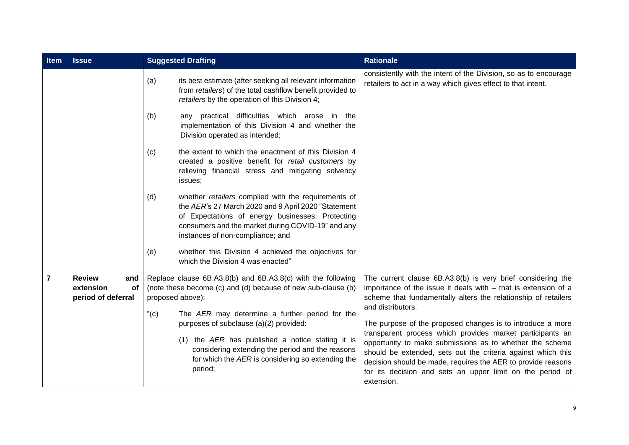| Item | <b>Issue</b>                                                                                                                                                                                                     | <b>Suggested Drafting</b>                                                                                                                                                                                                                                                   | <b>Rationale</b>                                                                                                                                                                                                                                                                                                                                                                               |
|------|------------------------------------------------------------------------------------------------------------------------------------------------------------------------------------------------------------------|-----------------------------------------------------------------------------------------------------------------------------------------------------------------------------------------------------------------------------------------------------------------------------|------------------------------------------------------------------------------------------------------------------------------------------------------------------------------------------------------------------------------------------------------------------------------------------------------------------------------------------------------------------------------------------------|
|      |                                                                                                                                                                                                                  | (a)<br>its best estimate (after seeking all relevant information<br>from retailers) of the total cashflow benefit provided to<br>retailers by the operation of this Division 4;                                                                                             | consistently with the intent of the Division, so as to encourage<br>retailers to act in a way which gives effect to that intent.                                                                                                                                                                                                                                                               |
|      |                                                                                                                                                                                                                  | any practical difficulties which arose in the<br>(b)<br>implementation of this Division 4 and whether the<br>Division operated as intended;                                                                                                                                 |                                                                                                                                                                                                                                                                                                                                                                                                |
|      |                                                                                                                                                                                                                  | the extent to which the enactment of this Division 4<br>(c)<br>created a positive benefit for retail customers by<br>relieving financial stress and mitigating solvency<br>issues;                                                                                          |                                                                                                                                                                                                                                                                                                                                                                                                |
|      |                                                                                                                                                                                                                  | whether retailers complied with the requirements of<br>(d)<br>the AER's 27 March 2020 and 9 April 2020 "Statement<br>of Expectations of energy businesses: Protecting<br>consumers and the market during COVID-19" and any<br>instances of non-compliance; and              |                                                                                                                                                                                                                                                                                                                                                                                                |
|      |                                                                                                                                                                                                                  | whether this Division 4 achieved the objectives for<br>(e)<br>which the Division 4 was enacted"                                                                                                                                                                             |                                                                                                                                                                                                                                                                                                                                                                                                |
| 7    | Replace clause 6B.A3.8(b) and 6B.A3.8(c) with the following<br><b>Review</b><br>and<br>(note these become (c) and (d) because of new sub-clause (b)<br>extension<br>of<br>proposed above):<br>period of deferral |                                                                                                                                                                                                                                                                             | The current clause 6B.A3.8(b) is very brief considering the<br>importance of the issue it deals with $-$ that is extension of a<br>scheme that fundamentally alters the relationship of retailers<br>and distributors.                                                                                                                                                                         |
|      |                                                                                                                                                                                                                  | " $(c)$<br>The AER may determine a further period for the<br>purposes of subclause (a)(2) provided:<br>(1) the AER has published a notice stating it is<br>considering extending the period and the reasons<br>for which the AER is considering so extending the<br>period; | The purpose of the proposed changes is to introduce a more<br>transparent process which provides market participants an<br>opportunity to make submissions as to whether the scheme<br>should be extended, sets out the criteria against which this<br>decision should be made, requires the AER to provide reasons<br>for its decision and sets an upper limit on the period of<br>extension. |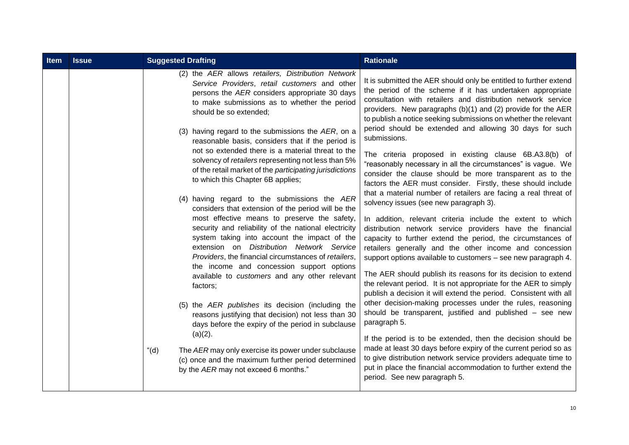| <b>Item</b> | <b>Issue</b> | <b>Suggested Drafting</b>                                                                                                                                                                                                                                                                                                                                                                                                                                                                                                                                                                                                                                                                                                                                                                                                                                                                                                                                                                                                                                                                                                                     | <b>Rationale</b>                                                                                                                                                                                                                                                                                                                                                                                                                                                                                                                                                                                                                                                                                                                                                                                                                                                                                                                                                                                                                                                                                                                                                                                                                                                                                                                                                                                                                          |
|-------------|--------------|-----------------------------------------------------------------------------------------------------------------------------------------------------------------------------------------------------------------------------------------------------------------------------------------------------------------------------------------------------------------------------------------------------------------------------------------------------------------------------------------------------------------------------------------------------------------------------------------------------------------------------------------------------------------------------------------------------------------------------------------------------------------------------------------------------------------------------------------------------------------------------------------------------------------------------------------------------------------------------------------------------------------------------------------------------------------------------------------------------------------------------------------------|-------------------------------------------------------------------------------------------------------------------------------------------------------------------------------------------------------------------------------------------------------------------------------------------------------------------------------------------------------------------------------------------------------------------------------------------------------------------------------------------------------------------------------------------------------------------------------------------------------------------------------------------------------------------------------------------------------------------------------------------------------------------------------------------------------------------------------------------------------------------------------------------------------------------------------------------------------------------------------------------------------------------------------------------------------------------------------------------------------------------------------------------------------------------------------------------------------------------------------------------------------------------------------------------------------------------------------------------------------------------------------------------------------------------------------------------|
|             |              | (2) the AER allows retailers, Distribution Network<br>Service Providers, retail customers and other<br>persons the AER considers appropriate 30 days<br>to make submissions as to whether the period<br>should be so extended;<br>(3) having regard to the submissions the AER, on a<br>reasonable basis, considers that if the period is<br>not so extended there is a material threat to the<br>solvency of retailers representing not less than 5%<br>of the retail market of the participating jurisdictions<br>to which this Chapter 6B applies;<br>(4) having regard to the submissions the AER<br>considers that extension of the period will be the<br>most effective means to preserve the safety,<br>security and reliability of the national electricity<br>system taking into account the impact of the<br>extension on Distribution Network Service<br>Providers, the financial circumstances of retailers,<br>the income and concession support options<br>available to customers and any other relevant<br>factors;<br>(5) the AER publishes its decision (including the<br>reasons justifying that decision) not less than 30 | It is submitted the AER should only be entitled to further extend<br>the period of the scheme if it has undertaken appropriate<br>consultation with retailers and distribution network service<br>providers. New paragraphs (b)(1) and (2) provide for the AER<br>to publish a notice seeking submissions on whether the relevant<br>period should be extended and allowing 30 days for such<br>submissions.<br>The criteria proposed in existing clause 6B.A3.8(b) of<br>"reasonably necessary in all the circumstances" is vague. We<br>consider the clause should be more transparent as to the<br>factors the AER must consider. Firstly, these should include<br>that a material number of retailers are facing a real threat of<br>solvency issues (see new paragraph 3).<br>In addition, relevant criteria include the extent to which<br>distribution network service providers have the financial<br>capacity to further extend the period, the circumstances of<br>retailers generally and the other income and concession<br>support options available to customers - see new paragraph 4.<br>The AER should publish its reasons for its decision to extend<br>the relevant period. It is not appropriate for the AER to simply<br>publish a decision it will extend the period. Consistent with all<br>other decision-making processes under the rules, reasoning<br>should be transparent, justified and published - see new |
|             |              | days before the expiry of the period in subclause<br>$(a)(2)$ .                                                                                                                                                                                                                                                                                                                                                                                                                                                                                                                                                                                                                                                                                                                                                                                                                                                                                                                                                                                                                                                                               | paragraph 5.<br>If the period is to be extended, then the decision should be<br>made at least 30 days before expiry of the current period so as                                                                                                                                                                                                                                                                                                                                                                                                                                                                                                                                                                                                                                                                                                                                                                                                                                                                                                                                                                                                                                                                                                                                                                                                                                                                                           |
|             |              | " $(d)$ "<br>The AER may only exercise its power under subclause<br>(c) once and the maximum further period determined<br>by the AER may not exceed 6 months."                                                                                                                                                                                                                                                                                                                                                                                                                                                                                                                                                                                                                                                                                                                                                                                                                                                                                                                                                                                | to give distribution network service providers adequate time to<br>put in place the financial accommodation to further extend the<br>period. See new paragraph 5.                                                                                                                                                                                                                                                                                                                                                                                                                                                                                                                                                                                                                                                                                                                                                                                                                                                                                                                                                                                                                                                                                                                                                                                                                                                                         |
|             |              |                                                                                                                                                                                                                                                                                                                                                                                                                                                                                                                                                                                                                                                                                                                                                                                                                                                                                                                                                                                                                                                                                                                                               |                                                                                                                                                                                                                                                                                                                                                                                                                                                                                                                                                                                                                                                                                                                                                                                                                                                                                                                                                                                                                                                                                                                                                                                                                                                                                                                                                                                                                                           |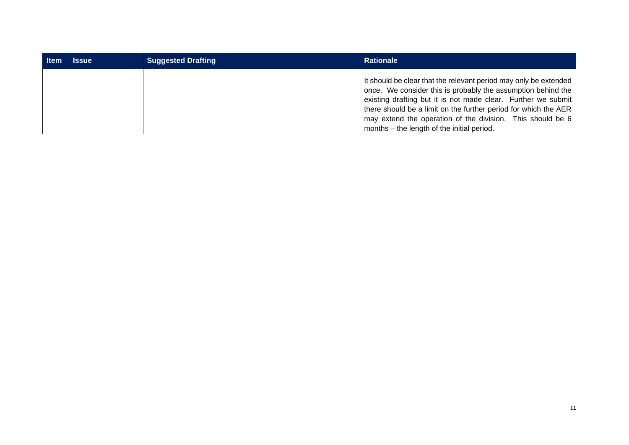| <b>Item</b> | Issue | <b>Suggested Drafting</b> | <b>Rationale</b>                                                                                                                                                                                                                                                                                                                                                                   |
|-------------|-------|---------------------------|------------------------------------------------------------------------------------------------------------------------------------------------------------------------------------------------------------------------------------------------------------------------------------------------------------------------------------------------------------------------------------|
|             |       |                           | It should be clear that the relevant period may only be extended<br>once. We consider this is probably the assumption behind the<br>existing drafting but it is not made clear. Further we submit<br>there should be a limit on the further period for which the AER  <br>may extend the operation of the division. This should be 6<br>months – the length of the initial period. |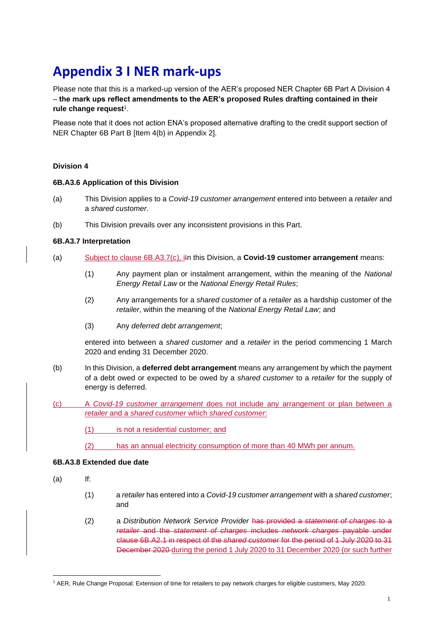## **Appendix 3 I NER mark-ups**

Please note that this is a marked-up version of the AER's proposed NER Chapter 6B Part A Division 4 – **the mark ups reflect amendments to the AER's proposed Rules drafting contained in their rule change request**<sup>1</sup> .

Please note that it does not action ENA's proposed alternative drafting to the credit support section of NER Chapter 6B Part B [Item 4(b) in Appendix 2].

#### **Division 4**

#### **6B.A3.6 Application of this Division**

- (a) This Division applies to a *Covid-19 customer arrangement* entered into between a *retailer* and a *shared customer*.
- (b) This Division prevails over any inconsistent provisions in this Part.

#### **6B.A3.7 Interpretation**

- (a) Subject to clause 6B.A3.7(c), i<sub>i</sub>m this Division, a **Covid-19 customer arrangement** means:
	- (1) Any payment plan or instalment arrangement, within the meaning of the *National Energy Retail Law* or the *National Energy Retail Rules*;
	- (2) Any arrangements for a *shared customer* of a *retailer* as a hardship customer of the *retailer*, within the meaning of the *National Energy Retail Law*; and
	- (3) Any *deferred debt arrangement*;

entered into between a *shared customer* and a *retailer* in the period commencing 1 March 2020 and ending 31 December 2020.

- (b) In this Division, a **deferred debt arrangement** means any arrangement by which the payment of a debt owed or expected to be owed by a *shared customer* to a *retailer* for the supply of energy is deferred.
- (c) A *Covid-19 customer arrangement* does not include any arrangement or plan between a *retailer* and a *shared customer* which *shared customer*:
	- (1) is not a residential customer; and
	- (2) has an annual electricity consumption of more than 40 MWh per annum.

#### **6B.A3.8 Extended due date**

- (a) If:
	- (1) a *retailer* has entered into a *Covid-19 customer arrangement* with a *shared customer*; and
	- (2) a *Distribution Network Service Provider* has provided a *statement of charges* to a *retailer* and the *statement of charges* includes *network charges* payable under clause 6B.A2.1 in respect of the *shared customer* for the period of 1 July 2020 to 31 December 2020 during the period 1 July 2020 to 31 December 2020 (or such further

<sup>1</sup> AER, Rule Change Proposal: Extension of time for retailers to pay network charges for eligible customers, May 2020.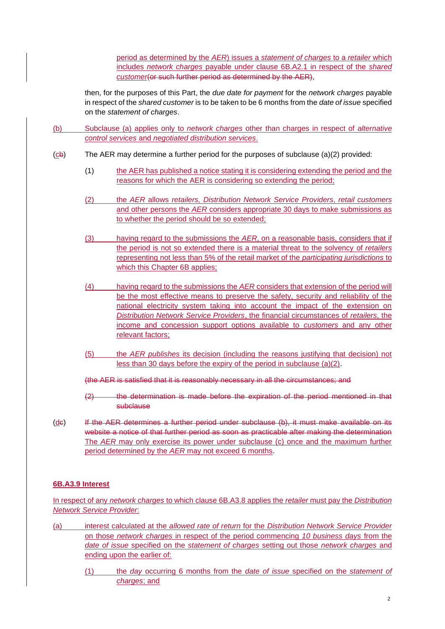period as determined by the *AER*) issues a *statement of charges* to a *retailer* which includes *network charges* payable under clause 6B.A2.1 in respect of the *shared customer*(or such further period as determined by the AER),

then, for the purposes of this Part, the *due date for payment* for the *network charges* payable in respect of the *shared customer* is to be taken to be 6 months from the *date of issue* specified on the *statement of charges*.

- (b) Subclause (a) applies only to *network charges* other than charges in respect of *alternative control services* and *negotiated distribution services*.
- $(cb)$  The AER may determine a further period for the purposes of subclause  $(a)(2)$  provided:
	- (1) the AER has published a notice stating it is considering extending the period and the reasons for which the AER is considering so extending the period;
	- (2) the *AER* allows *retailers, Distribution Network Service Providers*, *retail customers*  and other persons the *AER* considers appropriate 30 days to make submissions as to whether the period should be so extended;
	- (3) having regard to the submissions the *AER*, on a reasonable basis, considers that if the period is not so extended there is a material threat to the solvency of *retailers* representing not less than 5% of the retail market of the *participating jurisdictions* to which this Chapter 6B applies;
	- (4) having regard to the submissions the *AER* considers that extension of the period will be the most effective means to preserve the safety, security and reliability of the national electricity system taking into account the impact of the extension on *Distribution Network Service Providers*, the financial circumstances of *retailers*, the income and concession support options available to *customers* and any other relevant factors;
	- (5) the *AER publishes* its decision (including the reasons justifying that decision) not less than 30 days before the expiry of the period in subclause (a)(2).
	- (the AER is satisfied that it is reasonably necessary in all the circumstances; and
	- (2) the determination is made before the expiration of the period mentioned in that subclause
- (de) If the AER determines a further period under subclause (b), it must make available on its website a notice of that further period as soon as practicable after making the determination The *AER* may only exercise its power under subclause (c) once and the maximum further period determined by the *AER* may not exceed 6 months.

#### **6B.A3.9 Interest**

In respect of any *network charges* to which clause 6B.A3.8 applies the *retailer* must pay the *Distribution Network Service Provider*:

- (a) interest calculated at the *allowed rate of return* for the *Distribution Network Service Provider* on those *network charges* in respect of the period commencing *10 business days* from the *date of issue* specified on the *statement of charges* setting out those *network charges* and ending upon the earlier of:
	- (1) the *day* occurring 6 months from the *date of issue* specified on the *statement of charges*; and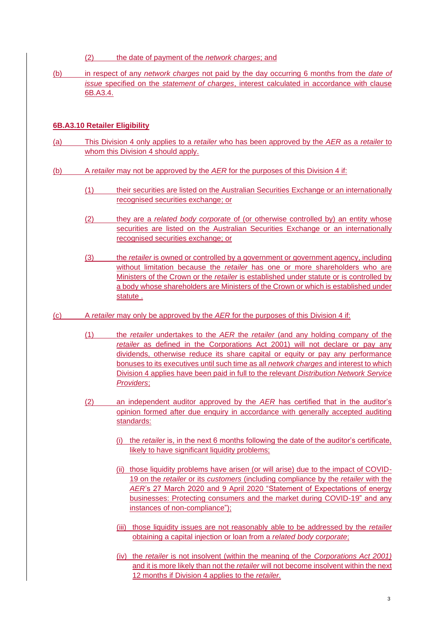(2) the date of payment of the *network charges*; and

(b) in respect of any *network charges* not paid by the day occurring 6 months from the *date of issue* specified on the *statement of charges*, interest calculated in accordance with clause 6B.A3.4.

#### **6B.A3.10 Retailer Eligibility**

- (a) This Division 4 only applies to a *retailer* who has been approved by the *AER* as a *retailer* to whom this Division 4 should apply.
- (b) A *retailer* may not be approved by the *AER* for the purposes of this Division 4 if:
	- (1) their securities are listed on the Australian Securities Exchange or an internationally recognised securities exchange; or
	- (2) they are a *related body corporate* of (or otherwise controlled by) an entity whose securities are listed on the Australian Securities Exchange or an internationally recognised securities exchange; or
	- (3) the *retailer* is owned or controlled by a government or government agency, including without limitation because the *retailer* has one or more shareholders who are Ministers of the Crown or the *retailer* is established under statute or is controlled by a body whose shareholders are Ministers of the Crown or which is established under statute .
- (c) A *retailer* may only be approved by the *AER* for the purposes of this Division 4 if:
	- (1) the *retailer* undertakes to the *AER* the *retailer* (and any holding company of the *retailer* as defined in the Corporations Act 2001) will not declare or pay any dividends, otherwise reduce its share capital or equity or pay any performance bonuses to its executives until such time as all *network charges* and interest to which Division 4 applies have been paid in full to the relevant *Distribution Network Service Providers*;
	- (2) an independent auditor approved by the *AER* has certified that in the auditor's opinion formed after due enquiry in accordance with generally accepted auditing standards:
		- (i) the *retailer* is, in the next 6 months following the date of the auditor's certificate, likely to have significant liquidity problems;
		- (ii) those liquidity problems have arisen (or will arise) due to the impact of COVID-19 on the *retailer* or its *customers* (including compliance by the *retailer* with the *AER*'s 27 March 2020 and 9 April 2020 "Statement of Expectations of energy businesses: Protecting consumers and the market during COVID-19" and any instances of non-compliance");
		- (iii) those liquidity issues are not reasonably able to be addressed by the *retailer* obtaining a capital injection or loan from a *related body corporate*;
		- (iv) the *retailer* is not insolvent (within the meaning of the *Corporations Act 2001)*  and it is more likely than not the *retailer* will not become insolvent within the next 12 months if Division 4 applies to the *retailer.*